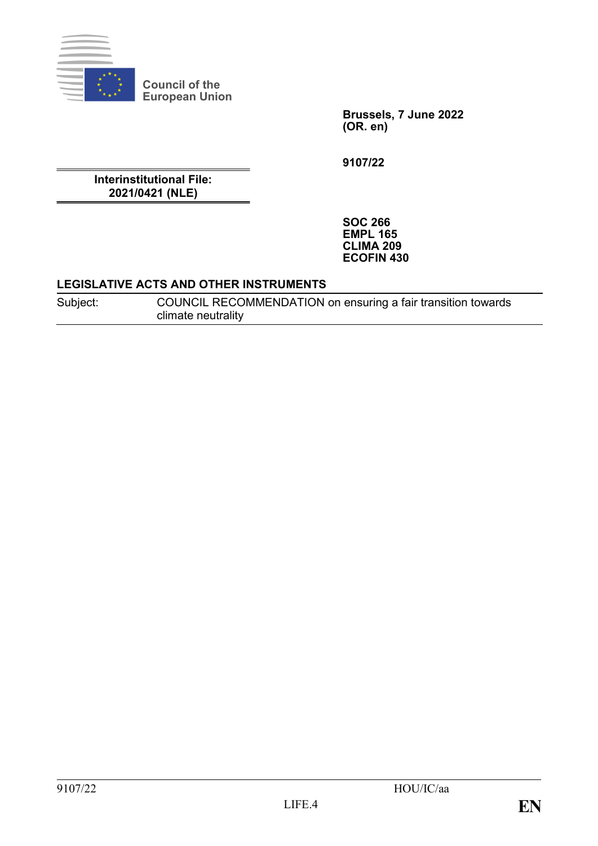

**Council of the European Union**

> **Brussels, 7 June 2022 (OR. en)**

**9107/22**

**Interinstitutional File: 2021/0421 (NLE)**

> **SOC 266 EMPL 165 CLIMA 209 ECOFIN 430**

#### **LEGISLATIVE ACTS AND OTHER INSTRUMENTS**

Subject: COUNCIL RECOMMENDATION on ensuring a fair transition towards climate neutrality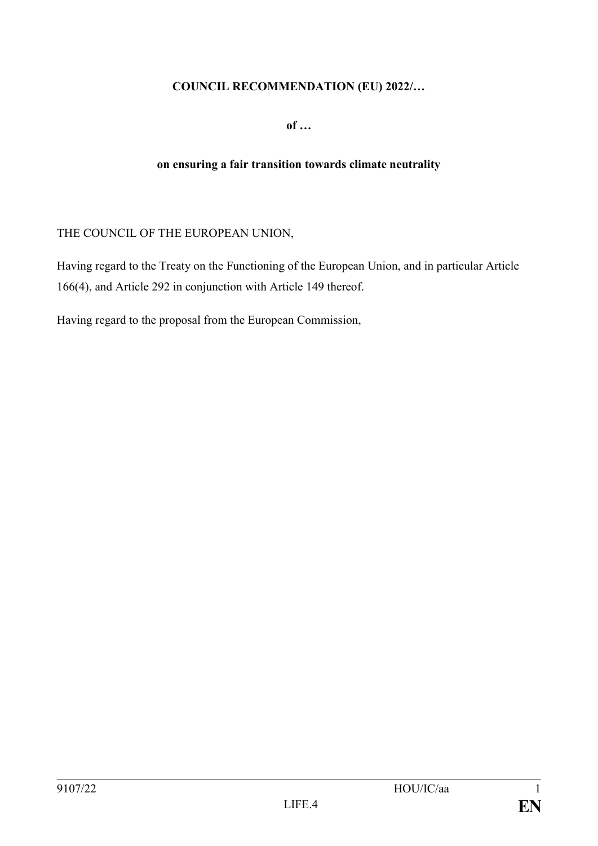## **COUNCIL RECOMMENDATION (EU) 2022/…**

**of …**

#### **on ensuring a fair transition towards climate neutrality**

## THE COUNCIL OF THE EUROPEAN UNION,

Having regard to the Treaty on the Functioning of the European Union, and in particular Article 166(4), and Article 292 in conjunction with Article 149 thereof.

Having regard to the proposal from the European Commission,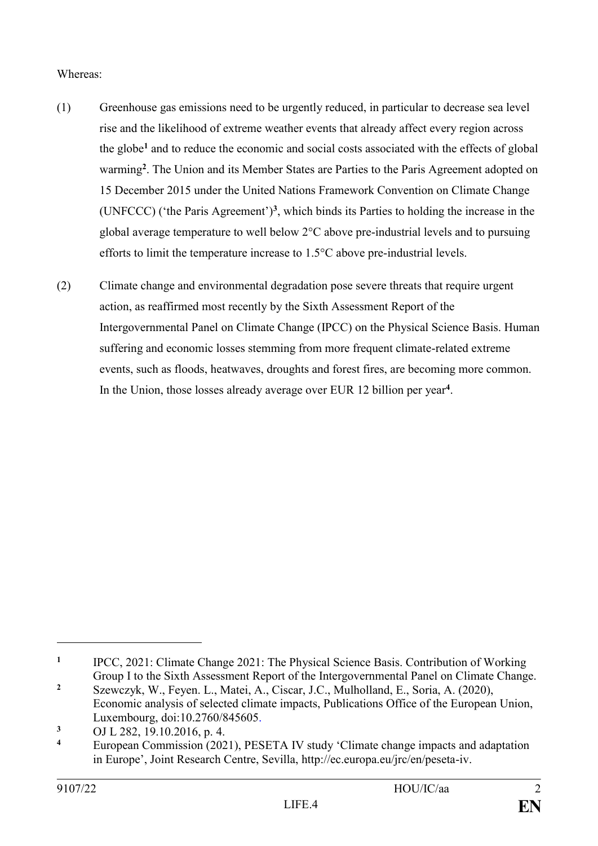## Whereas:

- (1) Greenhouse gas emissions need to be urgently reduced, in particular to decrease sea level rise and the likelihood of extreme weather events that already affect every region across the globe **<sup>1</sup>** and to reduce the economic and social costs associated with the effects of global warming**<sup>2</sup>** . The Union and its Member States are Parties to the Paris Agreement adopted on 15 December 2015 under the United Nations Framework Convention on Climate Change (UNFCCC) ('the Paris Agreement')**<sup>3</sup>** , which binds its Parties to holding the increase in the global average temperature to well below 2°C above pre-industrial levels and to pursuing efforts to limit the temperature increase to 1.5°C above pre-industrial levels.
- (2) Climate change and environmental degradation pose severe threats that require urgent action, as reaffirmed most recently by the Sixth Assessment Report of the Intergovernmental Panel on Climate Change (IPCC) on the Physical Science Basis. Human suffering and economic losses stemming from more frequent climate-related extreme events, such as floods, heatwaves, droughts and forest fires, are becoming more common. In the Union, those losses already average over EUR 12 billion per year**<sup>4</sup>** .

**<sup>1</sup>** IPCC, 2021: Climate Change 2021: The Physical Science Basis. Contribution of Working Group I to the Sixth Assessment Report of the Intergovernmental Panel on Climate Change.

**<sup>2</sup>** Szewczyk, W., Feyen. L., Matei, A., Ciscar, J.C., Mulholland, E., Soria, A. (2020), Economic analysis of selected climate impacts, Publications Office of the European Union, Luxembourg, doi:10.2760/845605.

**<sup>3</sup>** OJ L 282, 19.10.2016, p. 4.

**<sup>4</sup>** European Commission (2021), PESETA IV study 'Climate change impacts and adaptation in Europe', Joint Research Centre, Sevilla, [http://ec.europa.eu/jrc/en/peseta-iv.](http://ec.europa.eu/jrc/en/peseta-iv)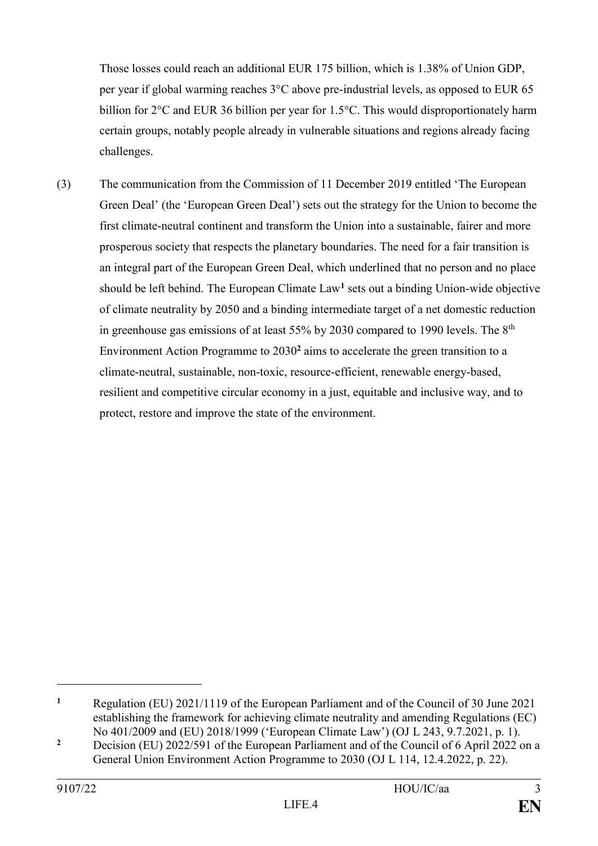Those losses could reach an additional EUR 175 billion, which is 1.38% of Union GDP, per year if global warming reaches 3°C above pre-industrial levels, as opposed to EUR 65 billion for 2°C and EUR 36 billion per year for 1.5°C. This would disproportionately harm certain groups, notably people already in vulnerable situations and regions already facing challenges.

(3) The communication from the Commission of 11 December 2019 entitled 'The European Green Deal' (the 'European Green Deal') sets out the strategy for the Union to become the first climate-neutral continent and transform the Union into a sustainable, fairer and more prosperous society that respects the planetary boundaries. The need for a fair transition is an integral part of the European Green Deal, which underlined that no person and no place should be left behind. The European Climate Law**<sup>1</sup>** sets out a binding Union-wide objective of climate neutrality by 2050 and a binding intermediate target of a net domestic reduction in greenhouse gas emissions of at least  $55\%$  by 2030 compared to 1990 levels. The  $8<sup>th</sup>$ Environment Action Programme to 2030**<sup>2</sup>** aims to accelerate the green transition to a climate-neutral, sustainable, non-toxic, resource-efficient, renewable energy-based, resilient and competitive circular economy in a just, equitable and inclusive way, and to protect, restore and improve the state of the environment.

**<sup>1</sup>** Regulation (EU) 2021/1119 of the European Parliament and of the Council of 30 June 2021 establishing the framework for achieving climate neutrality and amending Regulations (EC) No 401/2009 and (EU) 2018/1999 ('European Climate Law') (OJ L 243, 9.7.2021, p. 1).

<sup>&</sup>lt;sup>2</sup> Decision (EU) 2022/591 of the European Parliament and of the Council of 6 April 2022 on a General Union Environment Action Programme to 2030 [\(OJ L 114, 12.4.2022, p. 22\).](https://eur-lex.europa.eu/legal-content/EN/TXT/?uri=uriserv%3AOJ.L_.2022.114.01.0022.01.ENG&toc=OJ%3AL%3A2022%3A114%3ATOC)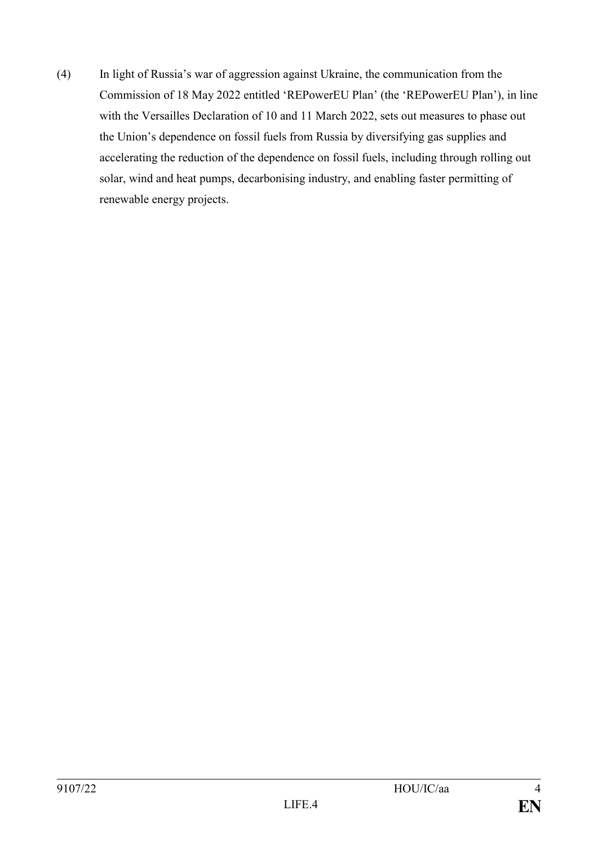(4) In light of Russia's war of aggression against Ukraine, the communication from the Commission of 18 May 2022 entitled 'REPowerEU Plan' (the 'REPowerEU Plan'), in line with the Versailles Declaration of 10 and 11 March 2022, sets out measures to phase out the Union's dependence on fossil fuels from Russia by diversifying gas supplies and accelerating the reduction of the dependence on fossil fuels, including through rolling out solar, wind and heat pumps, decarbonising industry, and enabling faster permitting of renewable energy projects.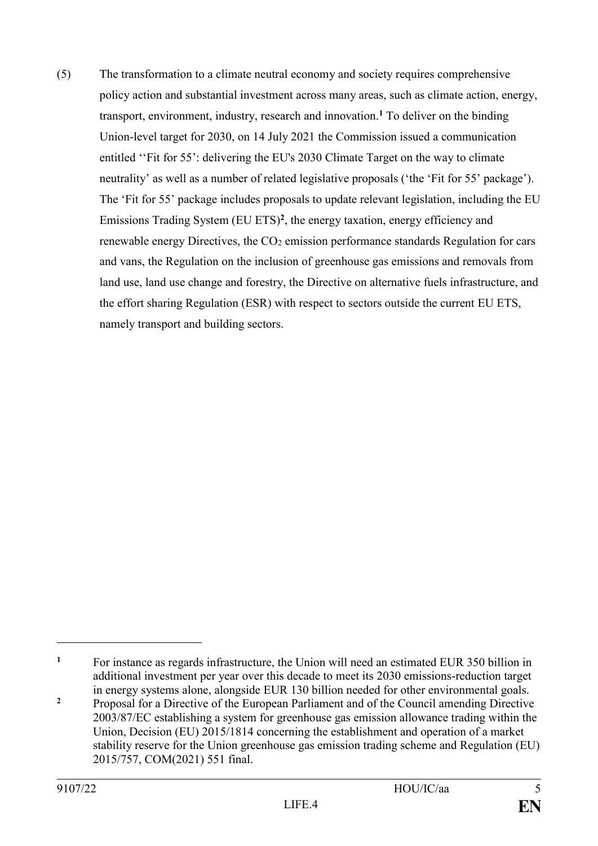(5) The transformation to a climate neutral economy and society requires comprehensive policy action and substantial investment across many areas, such as climate action, energy, transport, environment, industry, research and innovation.**<sup>1</sup>** To deliver on the binding Union-level target for 2030, on 14 July 2021 the Commission issued a communication entitled ''Fit for 55': delivering the EU's 2030 Climate Target on the way to climate neutrality' as well as a number of related legislative proposals ('the 'Fit for 55' package'). The 'Fit for 55' package includes proposals to update relevant legislation, including the EU Emissions Trading System (EU ETS)**<sup>2</sup>** , the energy taxation, energy efficiency and renewable energy Directives, the  $CO<sub>2</sub>$  emission performance standards Regulation for cars and vans, the Regulation on the inclusion of greenhouse gas emissions and removals from land use, land use change and forestry, the Directive on alternative fuels infrastructure, and the effort sharing Regulation (ESR) with respect to sectors outside the current EU ETS, namely transport and building sectors.

<sup>&</sup>lt;sup>1</sup> For instance as regards infrastructure, the Union will need an estimated EUR 350 billion in additional investment per year over this decade to meet its 2030 emissions-reduction target in energy systems alone, alongside EUR 130 billion needed for other environmental goals.

<sup>&</sup>lt;sup>2</sup> Proposal for a Directive of the European Parliament and of the Council amending Directive 2003/87/EC establishing a system for greenhouse gas emission allowance trading within the Union, Decision (EU) 2015/1814 concerning the establishment and operation of a market stability reserve for the Union greenhouse gas emission trading scheme and Regulation (EU) 2015/757, COM(2021) 551 final.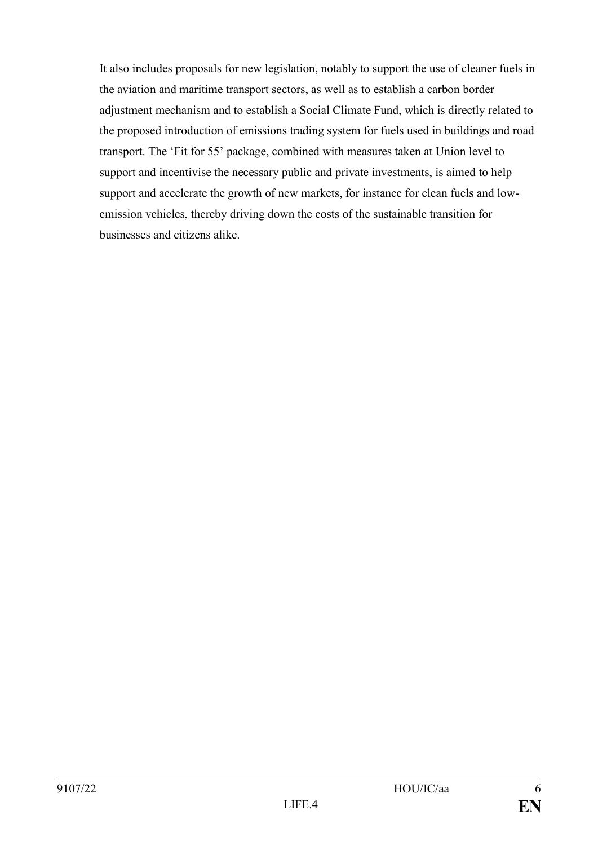It also includes proposals for new legislation, notably to support the use of cleaner fuels in the aviation and maritime transport sectors, as well as to establish a carbon border adjustment mechanism and to establish a Social Climate Fund, which is directly related to the proposed introduction of emissions trading system for fuels used in buildings and road transport. The 'Fit for 55' package, combined with measures taken at Union level to support and incentivise the necessary public and private investments, is aimed to help support and accelerate the growth of new markets, for instance for clean fuels and lowemission vehicles, thereby driving down the costs of the sustainable transition for businesses and citizens alike.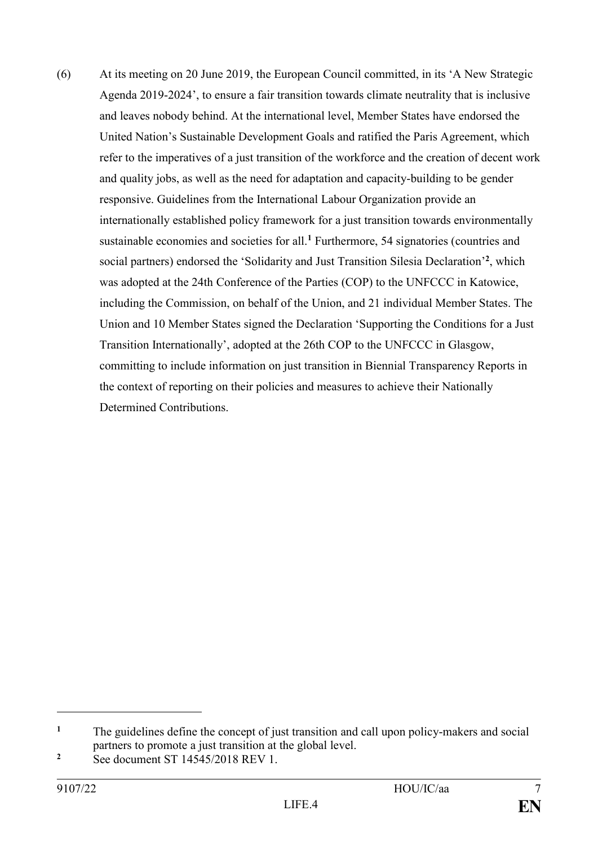(6) At its meeting on 20 June 2019, the European Council committed, in its 'A New Strategic Agenda 2019-2024', to ensure a fair transition towards climate neutrality that is inclusive and leaves nobody behind. At the international level, Member States have endorsed the United Nation's Sustainable Development Goals and ratified the Paris Agreement, which refer to the imperatives of a just transition of the workforce and the creation of decent work and quality jobs, as well as the need for adaptation and capacity-building to be gender responsive. Guidelines from the International Labour Organization provide an internationally established policy framework for a just transition towards environmentally sustainable economies and societies for all.**<sup>1</sup>** Furthermore, 54 signatories (countries and social partners) endorsed the 'Solidarity and Just Transition Silesia Declaration'**<sup>2</sup>** , which was adopted at the 24th Conference of the Parties (COP) to the UNFCCC in Katowice, including the Commission, on behalf of the Union, and 21 individual Member States. The Union and 10 Member States signed the Declaration 'Supporting the Conditions for a Just Transition Internationally', adopted at the 26th COP to the UNFCCC in Glasgow, committing to include information on just transition in Biennial Transparency Reports in the context of reporting on their policies and measures to achieve their Nationally Determined Contributions.

<sup>&</sup>lt;sup>1</sup> The guidelines define the concept of just transition and call upon policy-makers and social partners to promote a just transition at the global level.

**<sup>2</sup>** See document ST 14545/2018 REV 1.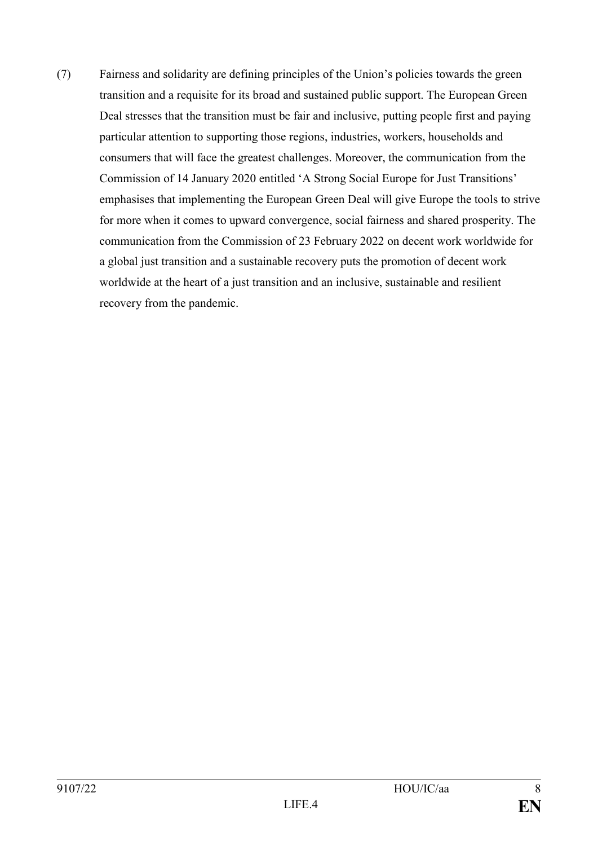(7) Fairness and solidarity are defining principles of the Union's policies towards the green transition and a requisite for its broad and sustained public support. The European Green Deal stresses that the transition must be fair and inclusive, putting people first and paying particular attention to supporting those regions, industries, workers, households and consumers that will face the greatest challenges. Moreover, the communication from the Commission of 14 January 2020 entitled 'A Strong Social Europe for Just Transitions' emphasises that implementing the European Green Deal will give Europe the tools to strive for more when it comes to upward convergence, social fairness and shared prosperity. The communication from the Commission of 23 February 2022 on decent work worldwide for a global just transition and a sustainable recovery puts the promotion of decent work worldwide at the heart of a just transition and an inclusive, sustainable and resilient recovery from the pandemic.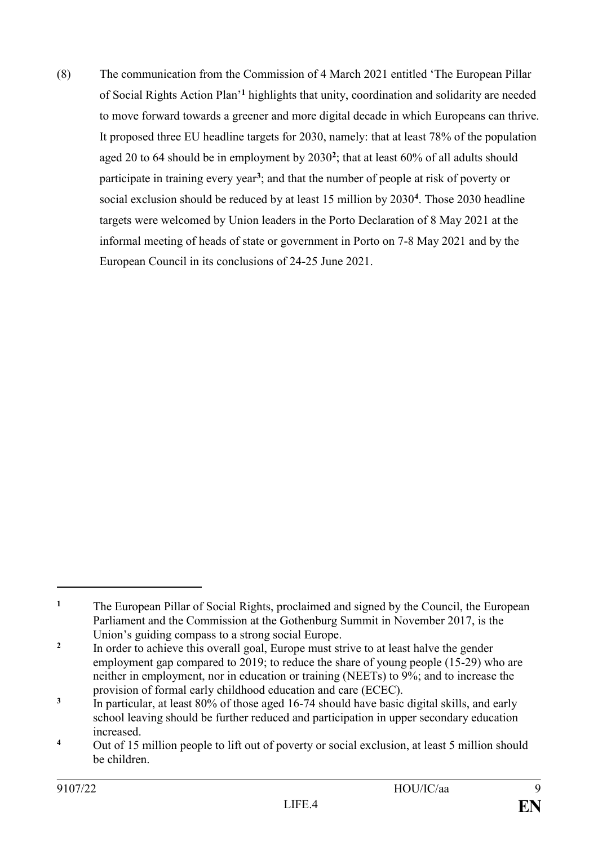(8) The communication from the Commission of 4 March 2021 entitled 'The European Pillar of Social Rights Action Plan'**<sup>1</sup>** highlights that unity, coordination and solidarity are needed to move forward towards a greener and more digital decade in which Europeans can thrive. It proposed three EU headline targets for 2030, namely: that at least 78% of the population aged 20 to 64 should be in employment by 2030**<sup>2</sup>** ; that at least 60% of all adults should participate in training every year**<sup>3</sup>** ; and that the number of people at risk of poverty or social exclusion should be reduced by at least 15 million by 2030**<sup>4</sup>** . Those 2030 headline targets were welcomed by Union leaders in the Porto Declaration of 8 May 2021 at the informal meeting of heads of state or government in Porto on 7-8 May 2021 and by the European Council in its conclusions of 24-25 June 2021.

<sup>&</sup>lt;sup>1</sup> The European Pillar of Social Rights, proclaimed and signed by the Council, the European Parliament and the Commission at the Gothenburg Summit in November 2017, is the Union's guiding compass to a strong social Europe.

**<sup>2</sup>** In order to achieve this overall goal, Europe must strive to at least halve the gender employment gap compared to 2019; to reduce the share of young people (15-29) who are neither in employment, nor in education or training (NEETs) to 9%; and to increase the provision of formal early childhood education and care (ECEC).

**<sup>3</sup>** In particular, at least 80% of those aged 16-74 should have basic digital skills, and early school leaving should be further reduced and participation in upper secondary education increased.

<sup>&</sup>lt;sup>4</sup> Out of 15 million people to lift out of poverty or social exclusion, at least 5 million should be children.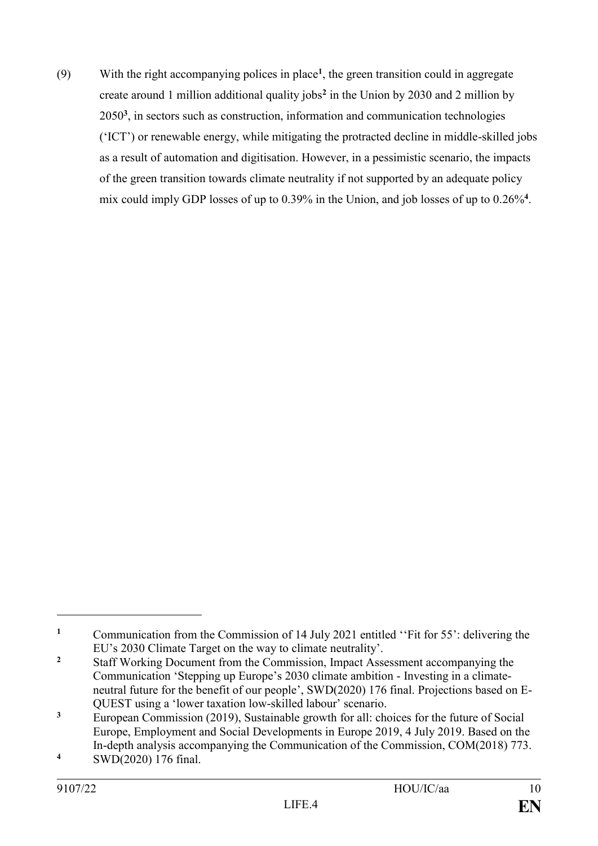(9) With the right accompanying polices in place**<sup>1</sup>** , the green transition could in aggregate create around 1 million additional quality jobs**<sup>2</sup>** in the Union by 2030 and 2 million by 2050**<sup>3</sup>** , in sectors such as construction, information and communication technologies ('ICT') or renewable energy, while mitigating the protracted decline in middle-skilled jobs as a result of automation and digitisation. However, in a pessimistic scenario, the impacts of the green transition towards climate neutrality if not supported by an adequate policy mix could imply GDP losses of up to 0.39% in the Union, and job losses of up to 0.26%**<sup>4</sup>** .

<sup>&</sup>lt;sup>1</sup> Communication from the Commission of 14 July 2021 entitled "Fit for 55": delivering the EU's 2030 Climate Target on the way to climate neutrality'.

<sup>&</sup>lt;sup>2</sup> Staff Working Document from the Commission, Impact Assessment accompanying the Communication 'Stepping up Europe's 2030 climate ambition - Investing in a climateneutral future for the benefit of our people', SWD(2020) 176 final. Projections based on E-QUEST using a 'lower taxation low-skilled labour' scenario.

**<sup>3</sup>** European Commission (2019), Sustainable growth for all: choices for the future of Social Europe, Employment and Social Developments in Europe 2019, 4 July 2019. Based on the In-depth analysis accompanying the Communication of the Commission, COM(2018) 773.

**<sup>4</sup>** SWD(2020) 176 final.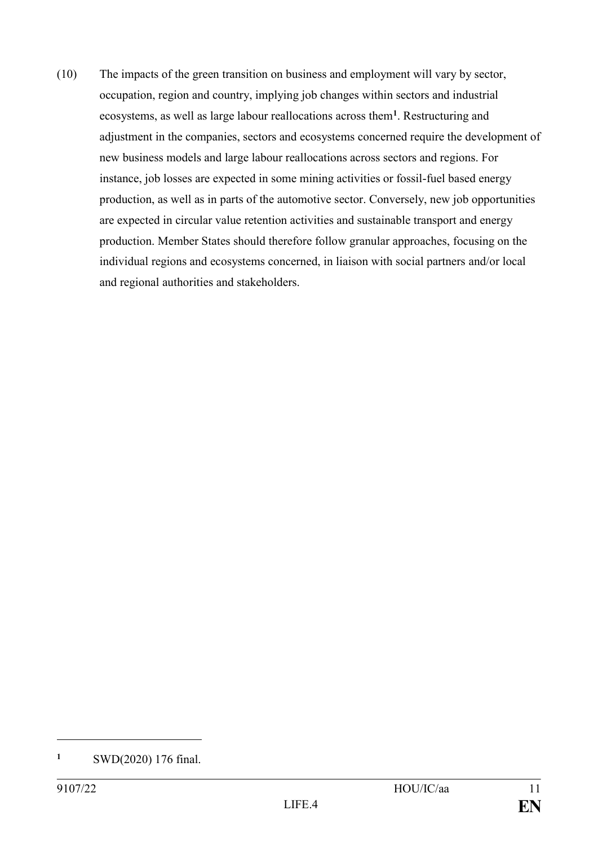(10) The impacts of the green transition on business and employment will vary by sector, occupation, region and country, implying job changes within sectors and industrial ecosystems, as well as large labour reallocations across them**<sup>1</sup>** . Restructuring and adjustment in the companies, sectors and ecosystems concerned require the development of new business models and large labour reallocations across sectors and regions. For instance, job losses are expected in some mining activities or fossil-fuel based energy production, as well as in parts of the automotive sector. Conversely, new job opportunities are expected in circular value retention activities and sustainable transport and energy production. Member States should therefore follow granular approaches, focusing on the individual regions and ecosystems concerned, in liaison with social partners and/or local and regional authorities and stakeholders.

**<sup>1</sup>** SWD(2020) 176 final.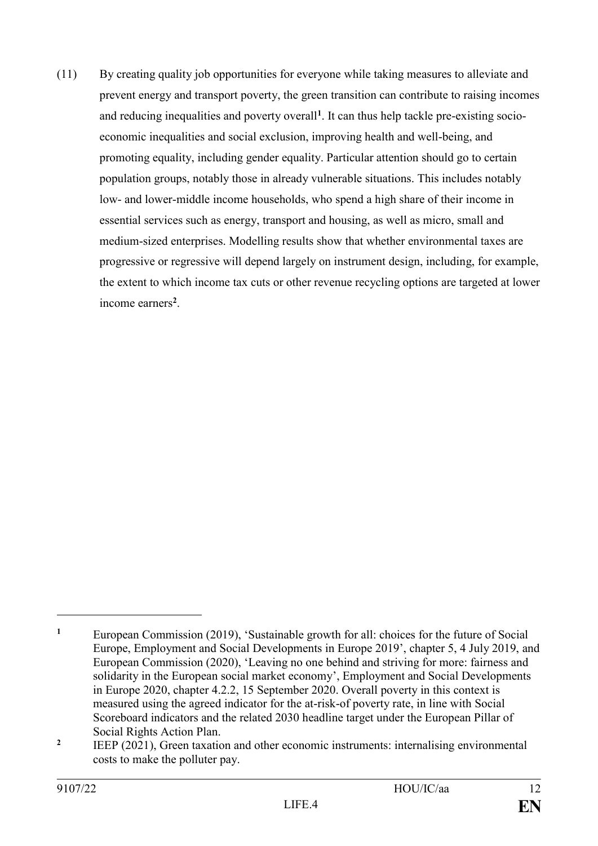(11) By creating quality job opportunities for everyone while taking measures to alleviate and prevent energy and transport poverty, the green transition can contribute to raising incomes and reducing inequalities and poverty overall**<sup>1</sup>** . It can thus help tackle pre-existing socioeconomic inequalities and social exclusion, improving health and well-being, and promoting equality, including gender equality. Particular attention should go to certain population groups, notably those in already vulnerable situations. This includes notably low- and lower-middle income households, who spend a high share of their income in essential services such as energy, transport and housing, as well as micro, small and medium-sized enterprises. Modelling results show that whether environmental taxes are progressive or regressive will depend largely on instrument design, including, for example, the extent to which income tax cuts or other revenue recycling options are targeted at lower income earners**<sup>2</sup>** .

**<sup>1</sup>** European Commission (2019), 'Sustainable growth for all: choices for the future of Social Europe, Employment and Social Developments in Europe 2019', chapter 5, 4 July 2019, and European Commission (2020), 'Leaving no one behind and striving for more: fairness and solidarity in the European social market economy', Employment and Social Developments in Europe 2020, chapter 4.2.2, 15 September 2020. Overall poverty in this context is measured using the agreed indicator for the at-risk-of poverty rate, in line with Social Scoreboard indicators and the related 2030 headline target under the European Pillar of Social Rights Action Plan.

**<sup>2</sup>** IEEP (2021), Green taxation and other economic instruments: internalising environmental costs to make the polluter pay.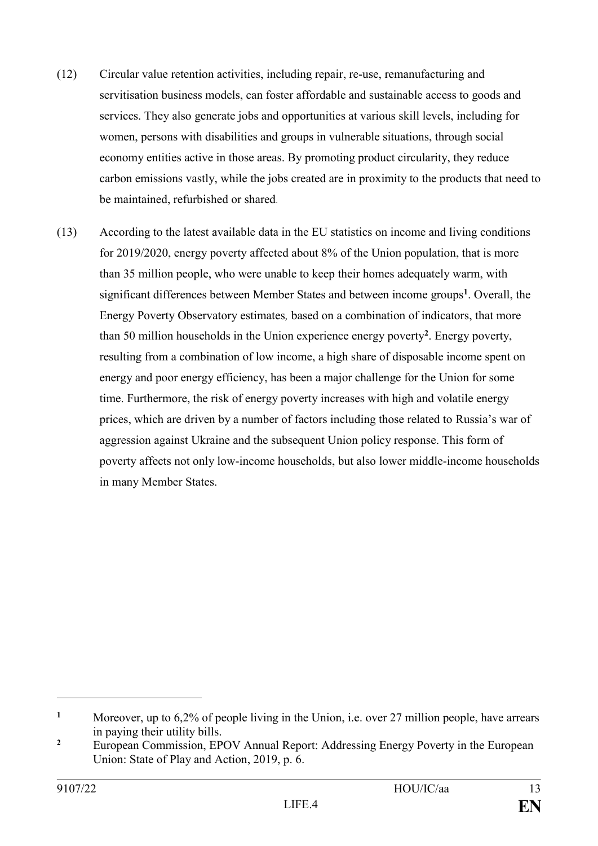- (12) Circular value retention activities, including repair, re-use, remanufacturing and servitisation business models, can foster affordable and sustainable access to goods and services. They also generate jobs and opportunities at various skill levels, including for women, persons with disabilities and groups in vulnerable situations, through social economy entities active in those areas. By promoting product circularity, they reduce carbon emissions vastly, while the jobs created are in proximity to the products that need to be maintained, refurbished or shared.
- (13) According to the latest available data in the EU statistics on income and living conditions for 2019/2020, energy poverty affected about 8% of the Union population, that is more than 35 million people, who were unable to keep their homes adequately warm, with significant differences between Member States and between income groups**<sup>1</sup>** . Overall, the Energy Poverty Observatory estimates*,* based on a combination of indicators, that more than 50 million households in the Union experience energy poverty**<sup>2</sup>** . Energy poverty, resulting from a combination of low income, a high share of disposable income spent on energy and poor energy efficiency, has been a major challenge for the Union for some time. Furthermore, the risk of energy poverty increases with high and volatile energy prices, which are driven by a number of factors including those related to Russia's war of aggression against Ukraine and the subsequent Union policy response. This form of poverty affects not only low-income households, but also lower middle-income households in many Member States.

**<sup>1</sup>** Moreover, up to 6,2% of people living in the Union, i.e. over 27 million people, have arrears in paying their utility bills.

<sup>&</sup>lt;sup>2</sup> European Commission, EPOV Annual Report: Addressing Energy Poverty in the European Union: [State of Play and Action,](https://energy-poverty.ec.europa.eu/discover/practices-and-policies-toolkit/publications/epov-annual-report-addressing-energy-poverty-european-union-state-play-and-action_en) 2019, p. 6.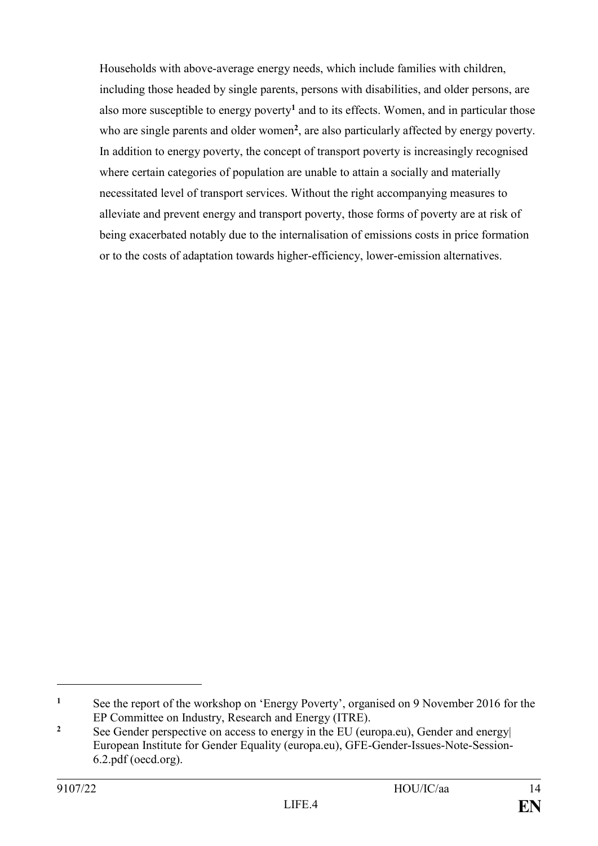Households with above-average energy needs, which include families with children, including those headed by single parents, persons with disabilities, and older persons, are also more susceptible to energy poverty**<sup>1</sup>** and to its effects. Women, and in particular those who are single parents and older women<sup>2</sup>, are also particularly affected by energy poverty. In addition to energy poverty, the concept of transport poverty is increasingly recognised where certain categories of population are unable to attain a socially and materially necessitated level of transport services. Without the right accompanying measures to alleviate and prevent energy and transport poverty, those forms of poverty are at risk of being exacerbated notably due to the internalisation of emissions costs in price formation or to the costs of adaptation towards higher-efficiency, lower-emission alternatives.

<sup>&</sup>lt;sup>1</sup> See the report of the workshop on 'Energy Poverty', organised on 9 November 2016 for the EP Committee on Industry, Research and Energy (ITRE).

<sup>&</sup>lt;sup>2</sup> See Gender perspective on access to energy in the EU (europa.eu), Gender and energy European Institute for Gender Equality (europa.eu), GFE-Gender-Issues-Note-Session-6.2.pdf (oecd.org).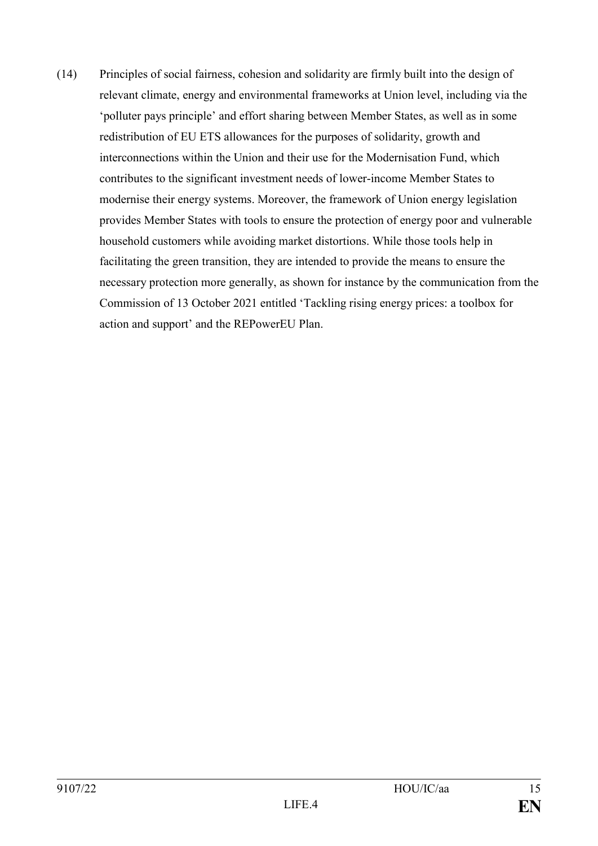(14) Principles of social fairness, cohesion and solidarity are firmly built into the design of relevant climate, energy and environmental frameworks at Union level, including via the 'polluter pays principle' and effort sharing between Member States, as well as in some redistribution of EU ETS allowances for the purposes of solidarity, growth and interconnections within the Union and their use for the Modernisation Fund, which contributes to the significant investment needs of lower-income Member States to modernise their energy systems. Moreover, the framework of Union energy legislation provides Member States with tools to ensure the protection of energy poor and vulnerable household customers while avoiding market distortions. While those tools help in facilitating the green transition, they are intended to provide the means to ensure the necessary protection more generally, as shown for instance by the communication from the Commission of 13 October 2021 entitled 'Tackling rising energy prices: a toolbox for action and support' and the REPowerEU Plan.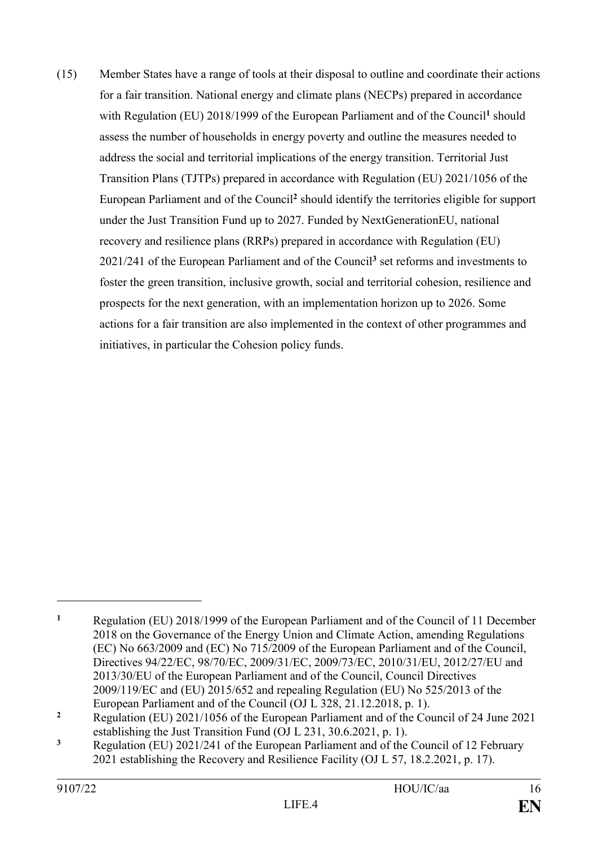(15) Member States have a range of tools at their disposal to outline and coordinate their actions for a fair transition. National energy and climate plans (NECPs) prepared in accordance with Regulation (EU) 2018/1999 of the European Parliament and of the Council<sup>1</sup> should assess the number of households in energy poverty and outline the measures needed to address the social and territorial implications of the energy transition. Territorial Just Transition Plans (TJTPs) prepared in accordance with Regulation (EU) 2021/1056 of the European Parliament and of the Council**<sup>2</sup>** should identify the territories eligible for support under the Just Transition Fund up to 2027. Funded by NextGenerationEU, national recovery and resilience plans (RRPs) prepared in accordance with Regulation (EU) 2021/241 of the European Parliament and of the Council**<sup>3</sup>** set reforms and investments to foster the green transition, inclusive growth, social and territorial cohesion, resilience and prospects for the next generation, with an implementation horizon up to 2026. Some actions for a fair transition are also implemented in the context of other programmes and initiatives, in particular the Cohesion policy funds.

**<sup>1</sup>** Regulation (EU) 2018/1999 of the European Parliament and of the Council of 11 December 2018 on the Governance of the Energy Union and Climate Action, amending Regulations (EC) No 663/2009 and (EC) No 715/2009 of the European Parliament and of the Council, Directives 94/22/EC, 98/70/EC, 2009/31/EC, 2009/73/EC, 2010/31/EU, 2012/27/EU and 2013/30/EU of the European Parliament and of the Council, Council Directives 2009/119/EC and (EU) 2015/652 and repealing Regulation (EU) No 525/2013 of the European Parliament and of the Council (OJ L 328, 21.12.2018, p. 1).

<sup>&</sup>lt;sup>2</sup> Regulation (EU) 2021/1056 of the European Parliament and of the Council of 24 June 2021 establishing the Just Transition Fund (OJ L 231, 30.6.2021, p. 1).

**<sup>3</sup>** Regulation (EU) 2021/241 of the European Parliament and of the Council of 12 February 2021 establishing the Recovery and Resilience Facility (OJ L 57, 18.2.2021, p. 17).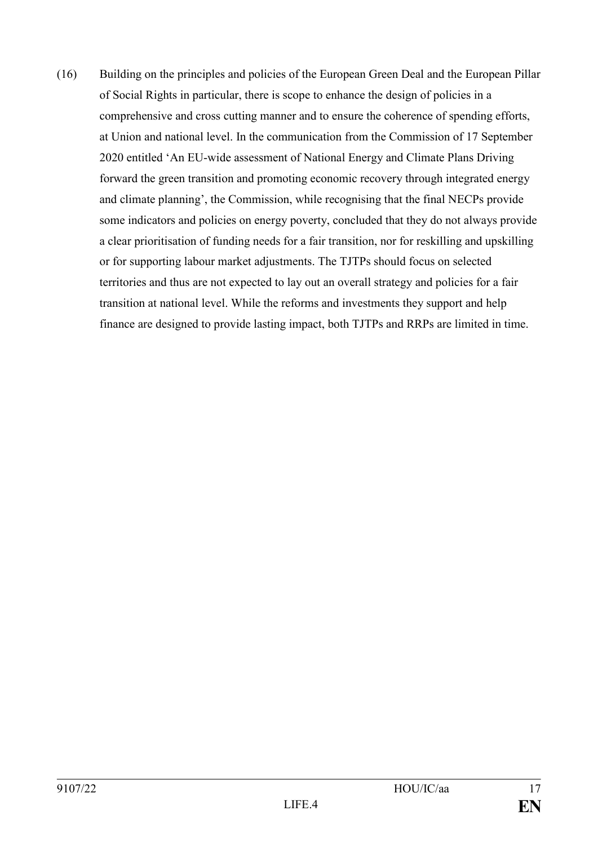(16) Building on the principles and policies of the European Green Deal and the European Pillar of Social Rights in particular, there is scope to enhance the design of policies in a comprehensive and cross cutting manner and to ensure the coherence of spending efforts, at Union and national level. In the communication from the Commission of 17 September 2020 entitled 'An EU-wide assessment of National Energy and Climate Plans Driving forward the green transition and promoting economic recovery through integrated energy and climate planning', the Commission, while recognising that the final NECPs provide some indicators and policies on energy poverty, concluded that they do not always provide a clear prioritisation of funding needs for a fair transition, nor for reskilling and upskilling or for supporting labour market adjustments. The TJTPs should focus on selected territories and thus are not expected to lay out an overall strategy and policies for a fair transition at national level. While the reforms and investments they support and help finance are designed to provide lasting impact, both TJTPs and RRPs are limited in time.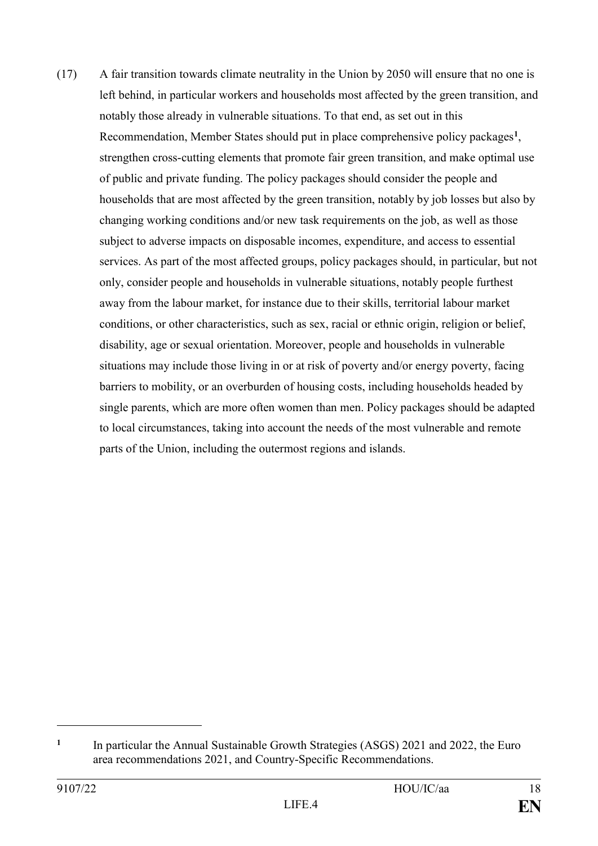(17) A fair transition towards climate neutrality in the Union by 2050 will ensure that no one is left behind, in particular workers and households most affected by the green transition, and notably those already in vulnerable situations. To that end, as set out in this Recommendation, Member States should put in place comprehensive policy packages**<sup>1</sup>** , strengthen cross-cutting elements that promote fair green transition, and make optimal use of public and private funding. The policy packages should consider the people and households that are most affected by the green transition, notably by job losses but also by changing working conditions and/or new task requirements on the job, as well as those subject to adverse impacts on disposable incomes, expenditure, and access to essential services. As part of the most affected groups, policy packages should, in particular, but not only, consider people and households in vulnerable situations, notably people furthest away from the labour market, for instance due to their skills, territorial labour market conditions, or other characteristics, such as sex, racial or ethnic origin, religion or belief, disability, age or sexual orientation. Moreover, people and households in vulnerable situations may include those living in or at risk of poverty and/or energy poverty, facing barriers to mobility, or an overburden of housing costs, including households headed by single parents, which are more often women than men. Policy packages should be adapted to local circumstances, taking into account the needs of the most vulnerable and remote parts of the Union, including the outermost regions and islands.

**<sup>1</sup>** In particular the Annual Sustainable Growth Strategies (ASGS) 2021 and 2022, the Euro area recommendations 2021, and Country-Specific Recommendations.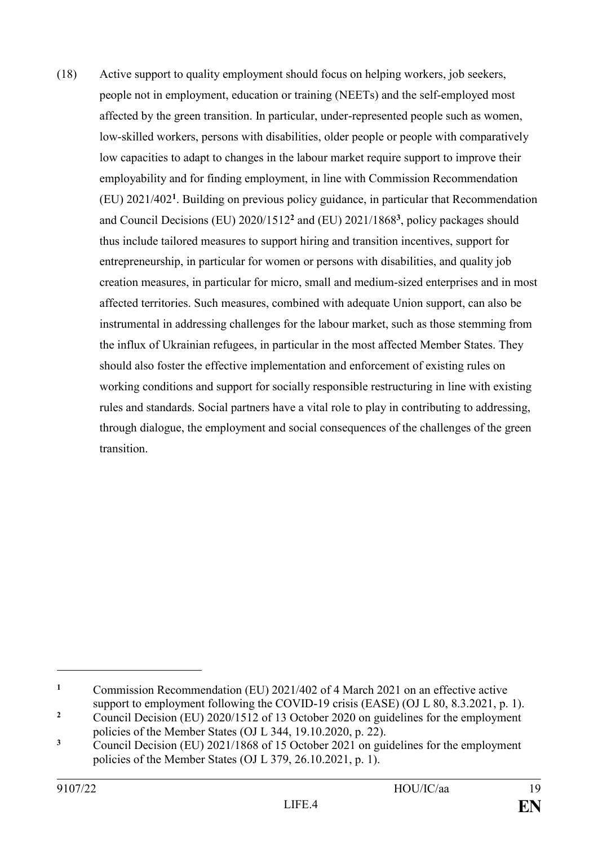(18) Active support to quality employment should focus on helping workers, job seekers, people not in employment, education or training (NEETs) and the self-employed most affected by the green transition. In particular, under-represented people such as women, low-skilled workers, persons with disabilities, older people or people with comparatively low capacities to adapt to changes in the labour market require support to improve their employability and for finding employment, in line with Commission Recommendation (EU) 2021/402**<sup>1</sup>** . Building on previous policy guidance, in particular that Recommendation and Council Decisions (EU) 2020/1512**<sup>2</sup>** and (EU) 2021/1868**<sup>3</sup>** , policy packages should thus include tailored measures to support hiring and transition incentives, support for entrepreneurship, in particular for women or persons with disabilities, and quality job creation measures, in particular for micro, small and medium-sized enterprises and in most affected territories. Such measures, combined with adequate Union support, can also be instrumental in addressing challenges for the labour market, such as those stemming from the influx of Ukrainian refugees, in particular in the most affected Member States. They should also foster the effective implementation and enforcement of existing rules on working conditions and support for socially responsible restructuring in line with existing rules and standards. Social partners have a vital role to play in contributing to addressing, through dialogue, the employment and social consequences of the challenges of the green transition.

**<sup>1</sup>** Commission Recommendation (EU) 2021/402 of 4 March 2021 on an effective active support to employment following the COVID-19 crisis (EASE) (OJ L 80, 8.3.2021, p. 1).

<sup>&</sup>lt;sup>2</sup> Council Decision (EU) 2020/1512 of 13 October 2020 on guidelines for the employment policies of the Member States (OJ L 344, 19.10.2020, p. 22).

<sup>&</sup>lt;sup>3</sup> Council Decision (EU) 2021/1868 of 15 October 2021 on guidelines for the employment policies of the Member States (OJ L 379, 26.10.2021, p. 1).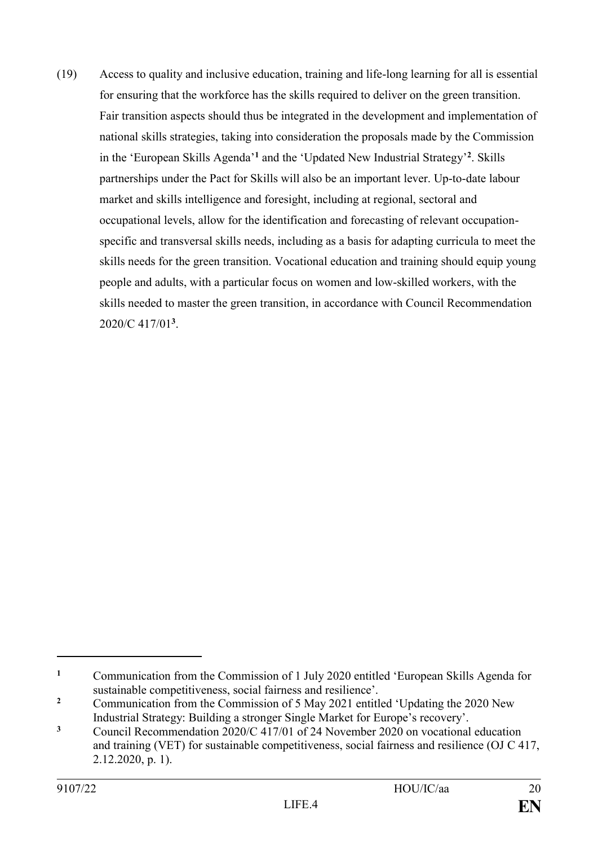(19) Access to quality and inclusive education, training and life-long learning for all is essential for ensuring that the workforce has the skills required to deliver on the green transition. Fair transition aspects should thus be integrated in the development and implementation of national skills strategies, taking into consideration the proposals made by the Commission in the 'European Skills Agenda'**<sup>1</sup>** and the 'Updated New Industrial Strategy' **2** . Skills partnerships under the Pact for Skills will also be an important lever. Up-to-date labour market and skills intelligence and foresight, including at regional, sectoral and occupational levels, allow for the identification and forecasting of relevant occupationspecific and transversal skills needs, including as a basis for adapting curricula to meet the skills needs for the green transition. Vocational education and training should equip young people and adults, with a particular focus on women and low-skilled workers, with the skills needed to master the green transition, in accordance with Council Recommendation 2020/C 417/01**<sup>3</sup>** .

**<sup>1</sup>** Communication from the Commission of 1 July 2020 entitled 'European Skills Agenda for sustainable competitiveness, social fairness and resilience'.

<sup>&</sup>lt;sup>2</sup> Communication from the Commission of 5 May 2021 entitled 'Updating the 2020 New Industrial Strategy: Building a stronger Single Market for Europe's recovery'.

**<sup>3</sup>** Council Recommendation 2020/C 417/01 of 24 November 2020 on vocational education and training (VET) for sustainable competitiveness, social fairness and resilience (OJ C 417, 2.12.2020, p. 1).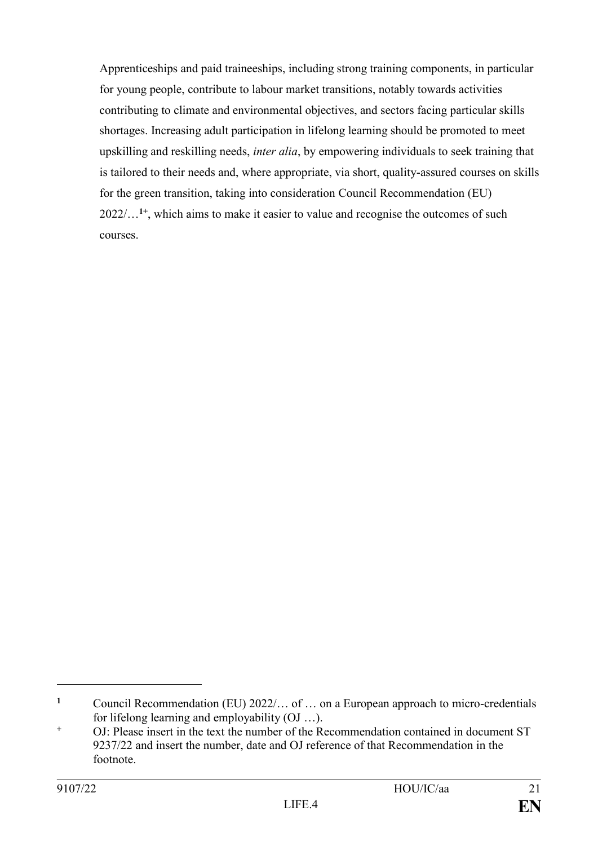Apprenticeships and paid traineeships, including strong training components, in particular for young people, contribute to labour market transitions, notably towards activities contributing to climate and environmental objectives, and sectors facing particular skills shortages. Increasing adult participation in lifelong learning should be promoted to meet upskilling and reskilling needs, *inter alia*, by empowering individuals to seek training that is tailored to their needs and, where appropriate, via short, quality-assured courses on skills for the green transition, taking into consideration Council Recommendation (EU) 2022/…**1+** , which aims to make it easier to value and recognise the outcomes of such courses.

**<sup>1</sup>** Council Recommendation (EU) 2022/… of … on a European approach to micro-credentials for lifelong learning and employability (OJ …).

**<sup>+</sup>** OJ: Please insert in the text the number of the Recommendation contained in document ST 9237/22 and insert the number, date and OJ reference of that Recommendation in the footnote.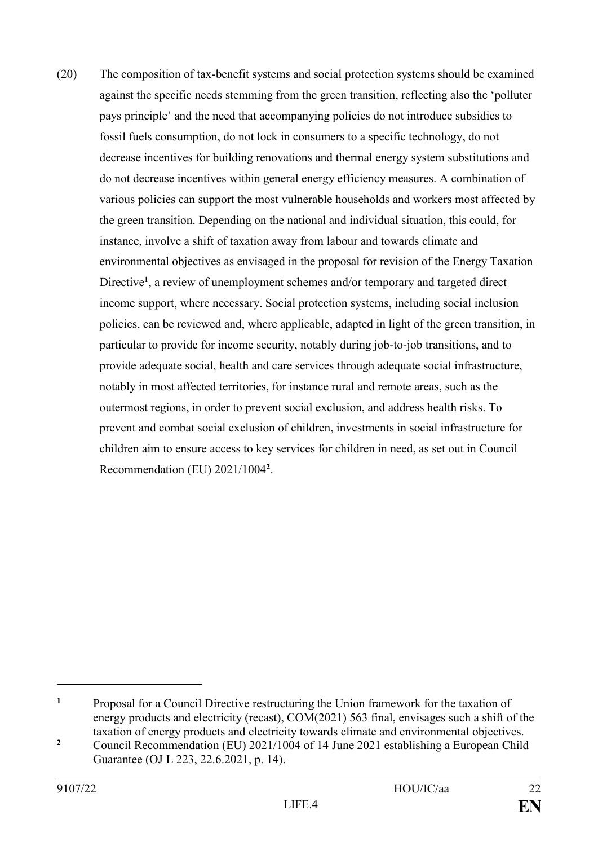(20) The composition of tax-benefit systems and social protection systems should be examined against the specific needs stemming from the green transition, reflecting also the 'polluter pays principle' and the need that accompanying policies do not introduce subsidies to fossil fuels consumption, do not lock in consumers to a specific technology, do not decrease incentives for building renovations and thermal energy system substitutions and do not decrease incentives within general energy efficiency measures. A combination of various policies can support the most vulnerable households and workers most affected by the green transition. Depending on the national and individual situation, this could, for instance, involve a shift of taxation away from labour and towards climate and environmental objectives as envisaged in the proposal for revision of the Energy Taxation Directive**<sup>1</sup>** , a review of unemployment schemes and/or temporary and targeted direct income support, where necessary. Social protection systems, including social inclusion policies, can be reviewed and, where applicable, adapted in light of the green transition, in particular to provide for income security, notably during job-to-job transitions, and to provide adequate social, health and care services through adequate social infrastructure, notably in most affected territories, for instance rural and remote areas, such as the outermost regions, in order to prevent social exclusion, and address health risks. To prevent and combat social exclusion of children, investments in social infrastructure for children aim to ensure access to key services for children in need, as set out in Council Recommendation (EU) 2021/1004**<sup>2</sup>** .

**<sup>1</sup>** Proposal for a Council Directive restructuring the Union framework for the taxation of energy products and electricity (recast), COM(2021) 563 final, envisages such a shift of the taxation of energy products and electricity towards climate and environmental objectives.

<sup>&</sup>lt;sup>2</sup> Council Recommendation (EU) 2021/1004 of 14 June 2021 establishing a European Child Guarantee (OJ L 223, 22.6.2021, p. 14).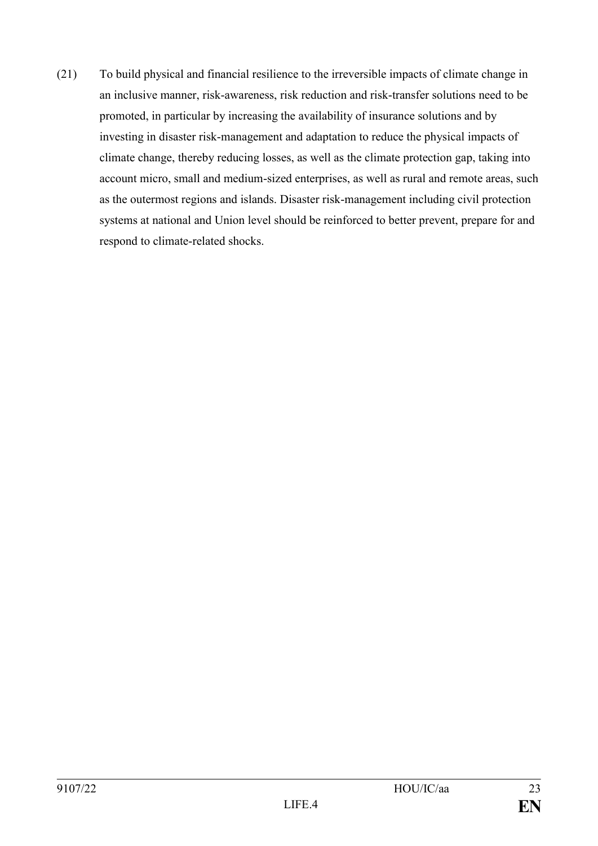(21) To build physical and financial resilience to the irreversible impacts of climate change in an inclusive manner, risk-awareness, risk reduction and risk-transfer solutions need to be promoted, in particular by increasing the availability of insurance solutions and by investing in disaster risk-management and adaptation to reduce the physical impacts of climate change, thereby reducing losses, as well as the climate protection gap, taking into account micro, small and medium-sized enterprises, as well as rural and remote areas, such as the outermost regions and islands. Disaster risk-management including civil protection systems at national and Union level should be reinforced to better prevent, prepare for and respond to climate-related shocks.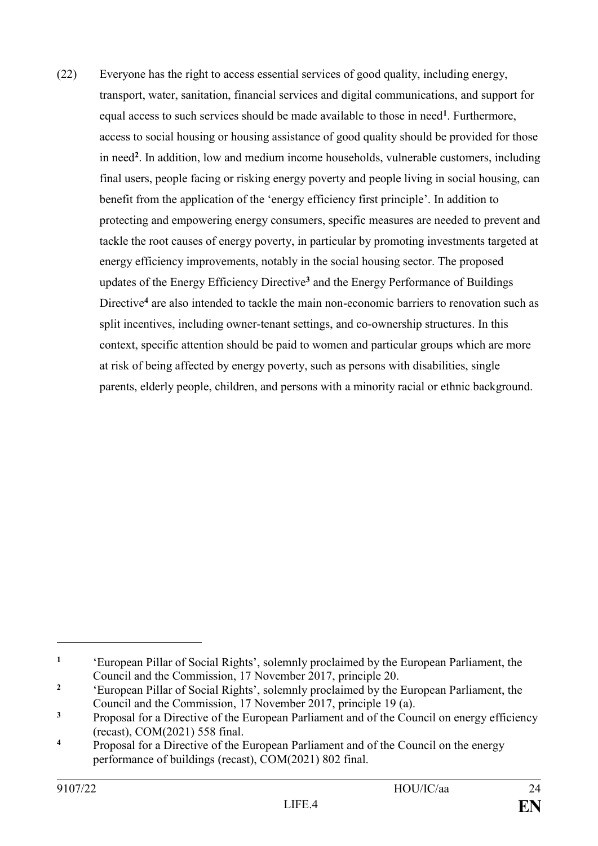(22) Everyone has the right to access essential services of good quality, including energy, transport, water, sanitation, financial services and digital communications, and support for equal access to such services should be made available to those in need**<sup>1</sup>** . Furthermore, access to social housing or housing assistance of good quality should be provided for those in need**<sup>2</sup>** . In addition, low and medium income households, vulnerable customers, including final users, people facing or risking energy poverty and people living in social housing, can benefit from the application of the 'energy efficiency first principle'. In addition to protecting and empowering energy consumers, specific measures are needed to prevent and tackle the root causes of energy poverty, in particular by promoting investments targeted at energy efficiency improvements, notably in the social housing sector. The proposed updates of the Energy Efficiency Directive**<sup>3</sup>** and the Energy Performance of Buildings Directive**<sup>4</sup>** are also intended to tackle the main non-economic barriers to renovation such as split incentives, including owner-tenant settings, and co-ownership structures. In this context, specific attention should be paid to women and particular groups which are more at risk of being affected by energy poverty, such as persons with disabilities, single parents, elderly people, children, and persons with a minority racial or ethnic background.

**<sup>1</sup>** 'European Pillar of Social Rights', solemnly proclaimed by the European Parliament, the Council and the Commission, 17 November 2017, principle 20.

**<sup>2</sup>** 'European Pillar of Social Rights', solemnly proclaimed by the European Parliament, the Council and the Commission, 17 November 2017, principle 19 (a).

<sup>&</sup>lt;sup>3</sup> Proposal for a Directive of the European Parliament and of the Council on energy efficiency (recast), COM(2021) 558 final.

**<sup>4</sup>** Proposal for a Directive of the European Parliament and of the Council on the energy performance of buildings (recast), COM(2021) 802 final.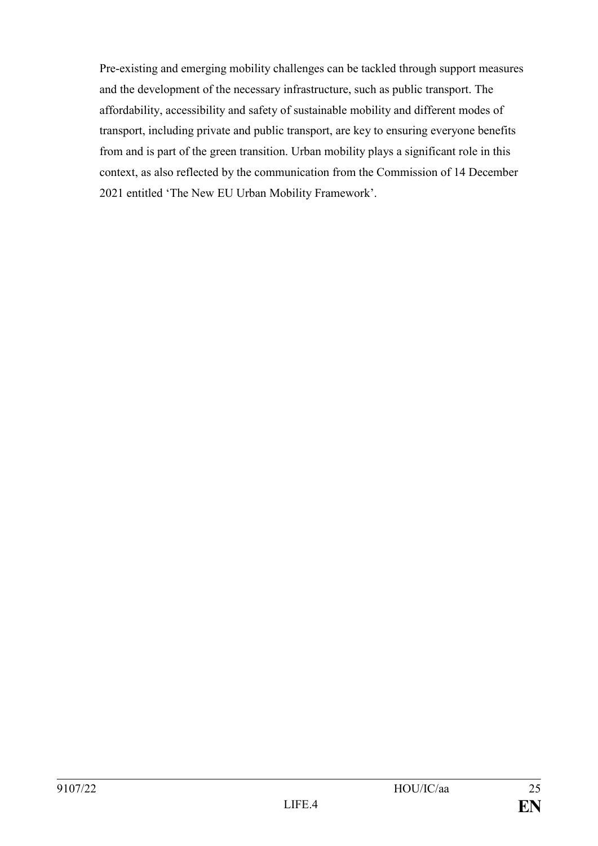Pre-existing and emerging mobility challenges can be tackled through support measures and the development of the necessary infrastructure, such as public transport. The affordability, accessibility and safety of sustainable mobility and different modes of transport, including private and public transport, are key to ensuring everyone benefits from and is part of the green transition. Urban mobility plays a significant role in this context, as also reflected by the communication from the Commission of 14 December 2021 entitled 'The New EU Urban Mobility Framework'.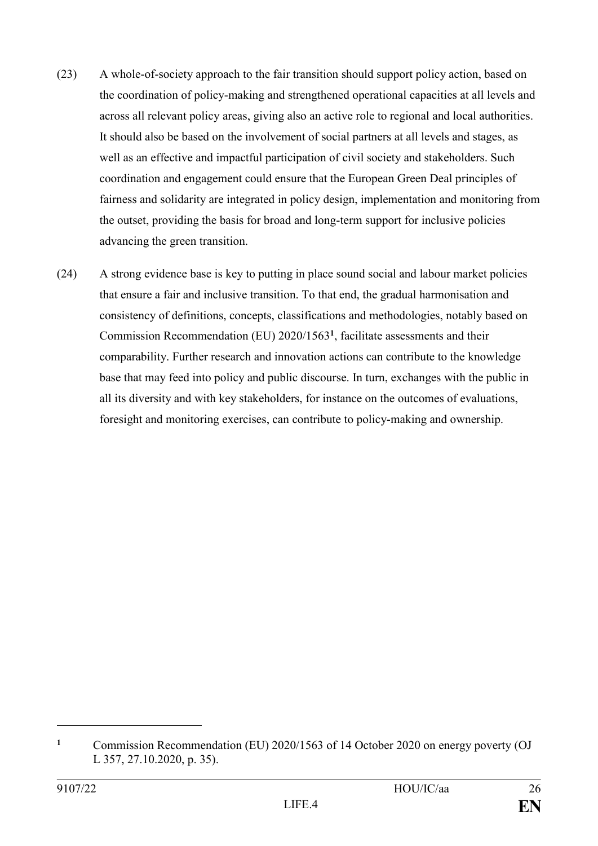- (23) A whole-of-society approach to the fair transition should support policy action, based on the coordination of policy-making and strengthened operational capacities at all levels and across all relevant policy areas, giving also an active role to regional and local authorities. It should also be based on the involvement of social partners at all levels and stages, as well as an effective and impactful participation of civil society and stakeholders. Such coordination and engagement could ensure that the European Green Deal principles of fairness and solidarity are integrated in policy design, implementation and monitoring from the outset, providing the basis for broad and long-term support for inclusive policies advancing the green transition.
- (24) A strong evidence base is key to putting in place sound social and labour market policies that ensure a fair and inclusive transition. To that end, the gradual harmonisation and consistency of definitions, concepts, classifications and methodologies, notably based on Commission Recommendation (EU) 2020/1563**<sup>1</sup>** , facilitate assessments and their comparability. Further research and innovation actions can contribute to the knowledge base that may feed into policy and public discourse. In turn, exchanges with the public in all its diversity and with key stakeholders, for instance on the outcomes of evaluations, foresight and monitoring exercises, can contribute to policy-making and ownership.

**<sup>1</sup>** Commission Recommendation (EU) 2020/1563 of 14 October 2020 on energy poverty (OJ L 357, 27.10.2020, p. 35).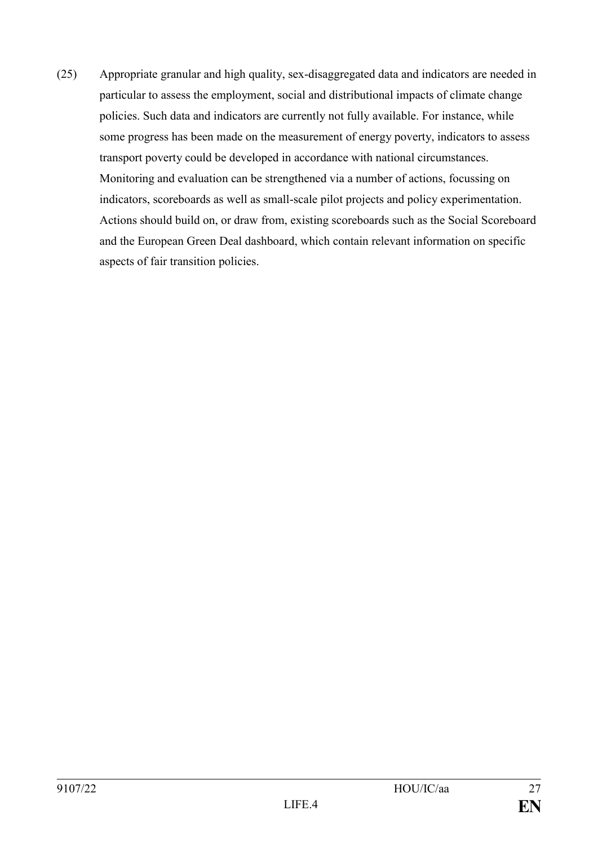(25) Appropriate granular and high quality, sex-disaggregated data and indicators are needed in particular to assess the employment, social and distributional impacts of climate change policies. Such data and indicators are currently not fully available. For instance, while some progress has been made on the measurement of energy poverty, indicators to assess transport poverty could be developed in accordance with national circumstances. Monitoring and evaluation can be strengthened via a number of actions, focussing on indicators, scoreboards as well as small-scale pilot projects and policy experimentation. Actions should build on, or draw from, existing scoreboards such as the Social Scoreboard and the European Green Deal dashboard, which contain relevant information on specific aspects of fair transition policies.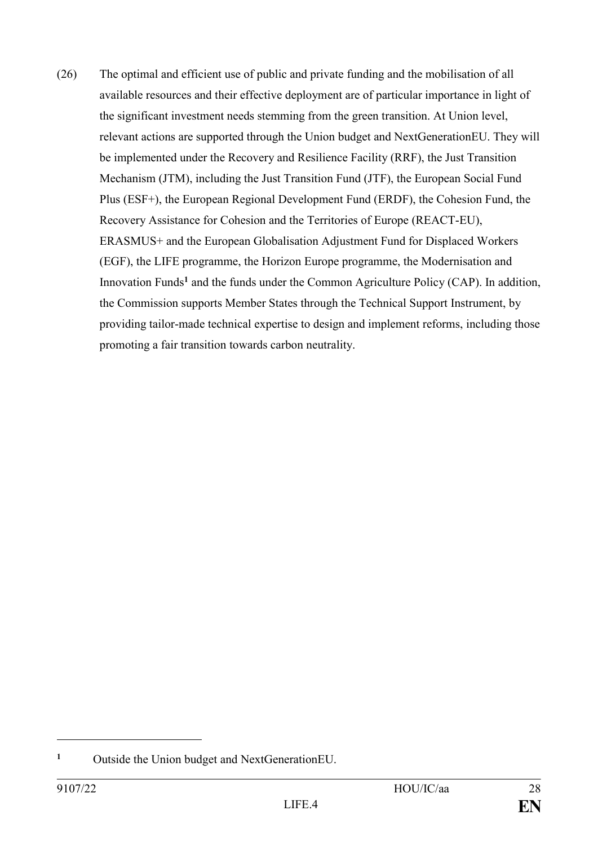(26) The optimal and efficient use of public and private funding and the mobilisation of all available resources and their effective deployment are of particular importance in light of the significant investment needs stemming from the green transition. At Union level, relevant actions are supported through the Union budget and NextGenerationEU. They will be implemented under the Recovery and Resilience Facility (RRF), the Just Transition Mechanism (JTM), including the Just Transition Fund (JTF), the European Social Fund Plus (ESF+), the European Regional Development Fund (ERDF), the Cohesion Fund, the Recovery Assistance for Cohesion and the Territories of Europe (REACT-EU), ERASMUS+ and the European Globalisation Adjustment Fund for Displaced Workers (EGF), the LIFE programme, the Horizon Europe programme, the Modernisation and Innovation Funds**<sup>1</sup>** and the funds under the Common Agriculture Policy (CAP). In addition, the Commission supports Member States through the Technical Support Instrument, by providing tailor-made technical expertise to design and implement reforms, including those promoting a fair transition towards carbon neutrality.

**<sup>1</sup>** Outside the Union budget and NextGenerationEU.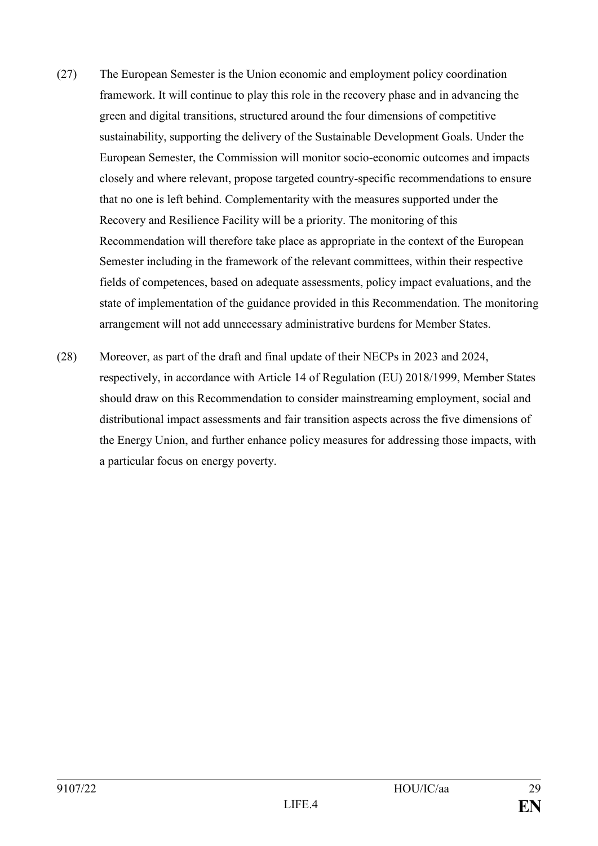- (27) The European Semester is the Union economic and employment policy coordination framework. It will continue to play this role in the recovery phase and in advancing the green and digital transitions, structured around the four dimensions of competitive sustainability, supporting the delivery of the Sustainable Development Goals. Under the European Semester, the Commission will monitor socio-economic outcomes and impacts closely and where relevant, propose targeted country-specific recommendations to ensure that no one is left behind. Complementarity with the measures supported under the Recovery and Resilience Facility will be a priority. The monitoring of this Recommendation will therefore take place as appropriate in the context of the European Semester including in the framework of the relevant committees, within their respective fields of competences, based on adequate assessments, policy impact evaluations, and the state of implementation of the guidance provided in this Recommendation. The monitoring arrangement will not add unnecessary administrative burdens for Member States.
- (28) Moreover, as part of the draft and final update of their NECPs in 2023 and 2024, respectively, in accordance with Article 14 of Regulation (EU) 2018/1999, Member States should draw on this Recommendation to consider mainstreaming employment, social and distributional impact assessments and fair transition aspects across the five dimensions of the Energy Union, and further enhance policy measures for addressing those impacts, with a particular focus on energy poverty.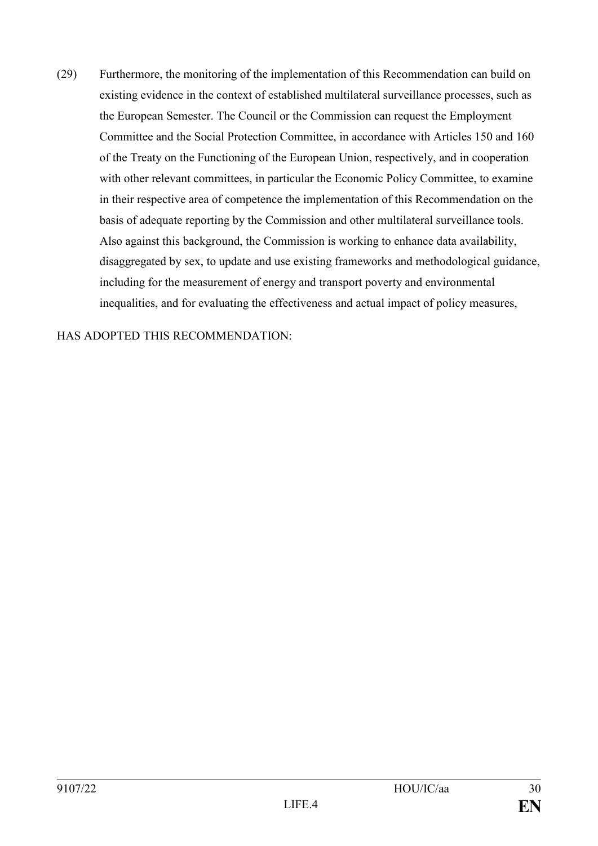(29) Furthermore, the monitoring of the implementation of this Recommendation can build on existing evidence in the context of established multilateral surveillance processes, such as the European Semester. The Council or the Commission can request the Employment Committee and the Social Protection Committee, in accordance with Articles 150 and 160 of the Treaty on the Functioning of the European Union, respectively, and in cooperation with other relevant committees, in particular the Economic Policy Committee, to examine in their respective area of competence the implementation of this Recommendation on the basis of adequate reporting by the Commission and other multilateral surveillance tools. Also against this background, the Commission is working to enhance data availability, disaggregated by sex, to update and use existing frameworks and methodological guidance, including for the measurement of energy and transport poverty and environmental inequalities, and for evaluating the effectiveness and actual impact of policy measures,

## HAS ADOPTED THIS RECOMMENDATION: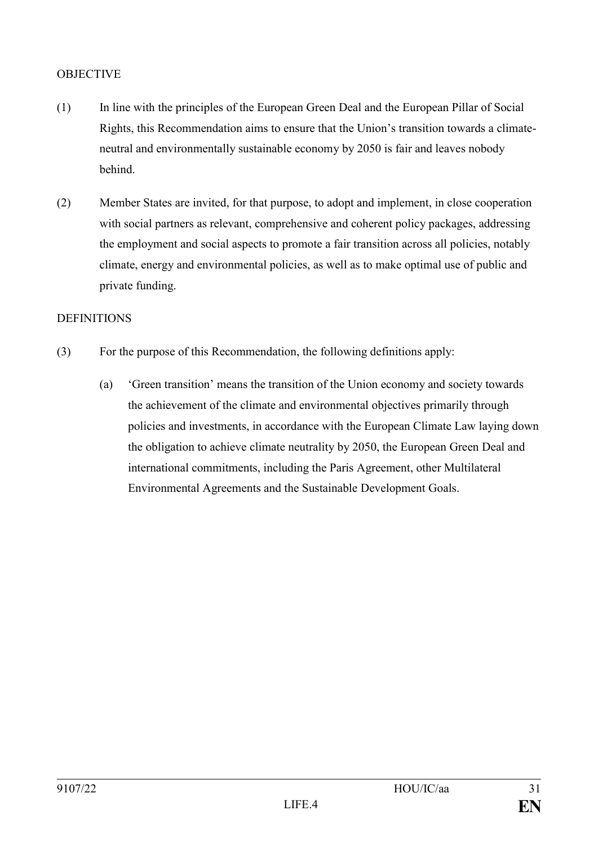#### **OBJECTIVE**

- (1) In line with the principles of the European Green Deal and the European Pillar of Social Rights, this Recommendation aims to ensure that the Union's transition towards a climateneutral and environmentally sustainable economy by 2050 is fair and leaves nobody behind.
- (2) Member States are invited, for that purpose, to adopt and implement, in close cooperation with social partners as relevant, comprehensive and coherent policy packages, addressing the employment and social aspects to promote a fair transition across all policies, notably climate, energy and environmental policies, as well as to make optimal use of public and private funding.

#### **DEFINITIONS**

- (3) For the purpose of this Recommendation, the following definitions apply:
	- (a) 'Green transition' means the transition of the Union economy and society towards the achievement of the climate and environmental objectives primarily through policies and investments, in accordance with the European Climate Law laying down the obligation to achieve climate neutrality by 2050, the European Green Deal and international commitments, including the Paris Agreement, other Multilateral Environmental Agreements and the Sustainable Development Goals.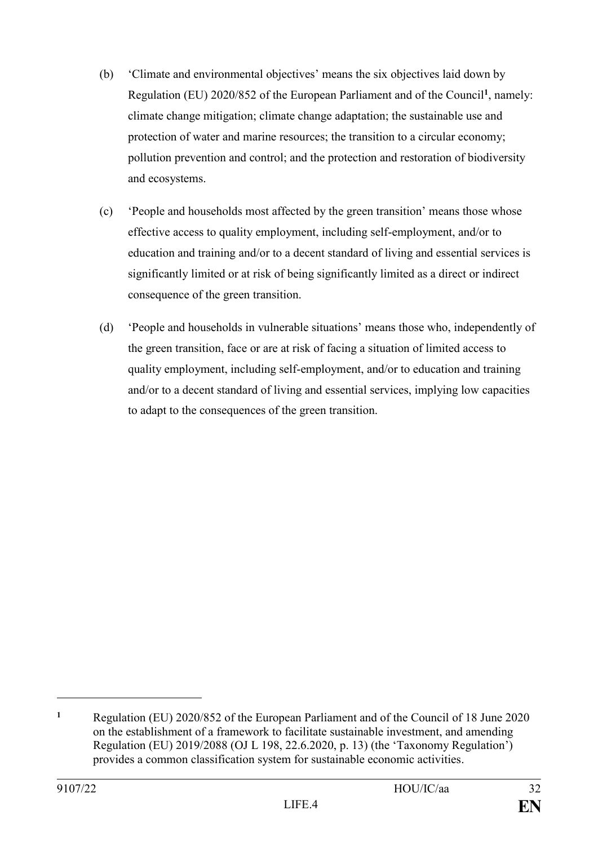- (b) 'Climate and environmental objectives' means the six objectives laid down by Regulation (EU) 2020/852 of the European Parliament and of the Council**<sup>1</sup>** , namely: climate change mitigation; climate change adaptation; the sustainable use and protection of water and marine resources; the transition to a circular economy; pollution prevention and control; and the protection and restoration of biodiversity and ecosystems.
- (c) 'People and households most affected by the green transition' means those whose effective access to quality employment, including self-employment, and/or to education and training and/or to a decent standard of living and essential services is significantly limited or at risk of being significantly limited as a direct or indirect consequence of the green transition.
- (d) 'People and households in vulnerable situations' means those who, independently of the green transition, face or are at risk of facing a situation of limited access to quality employment, including self-employment, and/or to education and training and/or to a decent standard of living and essential services, implying low capacities to adapt to the consequences of the green transition.

**<sup>1</sup>** Regulation (EU) 2020/852 of the European Parliament and of the Council of 18 June 2020 on the establishment of a framework to facilitate sustainable investment, and amending Regulation (EU) 2019/2088 (OJ L 198, 22.6.2020, p. 13) (the 'Taxonomy Regulation') provides a common classification system for sustainable economic activities.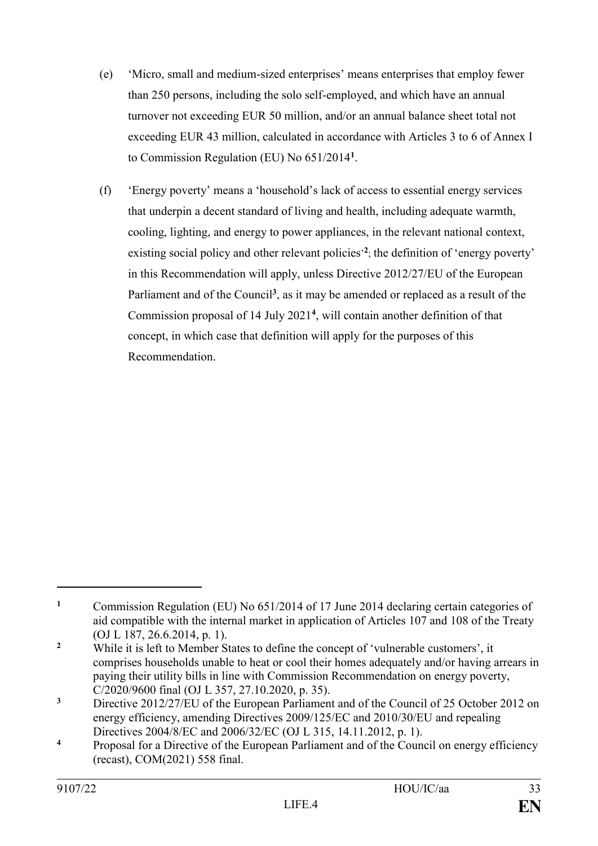- (e) 'Micro, small and medium-sized enterprises' means enterprises that employ fewer than 250 persons, including the solo self-employed, and which have an annual turnover not exceeding EUR 50 million, and/or an annual balance sheet total not exceeding EUR 43 million, calculated in accordance with Articles 3 to 6 of Annex I to Commission Regulation (EU) No 651/2014**<sup>1</sup>** .
- (f) 'Energy poverty' means a 'household's lack of access to essential energy services that underpin a decent standard of living and health, including adequate warmth, cooling, lighting, and energy to power appliances, in the relevant national context, existing social policy and other relevant policies<sup>2</sup>; the definition of 'energy poverty' in this Recommendation will apply, unless Directive 2012/27/EU of the European Parliament and of the Council<sup>3</sup>, as it may be amended or replaced as a result of the Commission proposal of 14 July 2021**<sup>4</sup>** , will contain another definition of that concept, in which case that definition will apply for the purposes of this Recommendation.

**<sup>1</sup>** Commission Regulation (EU) No 651/2014 of 17 June 2014 declaring certain categories of aid compatible with the internal market in application of Articles 107 and 108 of the Treaty (OJ L 187, 26.6.2014, p. 1).

**<sup>2</sup>** While it is left to Member States to define the concept of 'vulnerable customers', it comprises households unable to heat or cool their homes adequately and/or having arrears in paying their utility bills in line with Commission Recommendation on energy poverty, C/2020/9600 final (OJ L 357, 27.10.2020, p. 35).

<sup>&</sup>lt;sup>3</sup> Directive 2012/27/EU of the European Parliament and of the Council of 25 October 2012 on energy efficiency, amending Directives 2009/125/EC and 2010/30/EU and repealing Directives 2004/8/EC and 2006/32/EC (OJ L 315, 14.11.2012, p. 1).

**<sup>4</sup>** Proposal for a Directive of the European Parliament and of the Council on energy efficiency (recast), COM(2021) 558 final.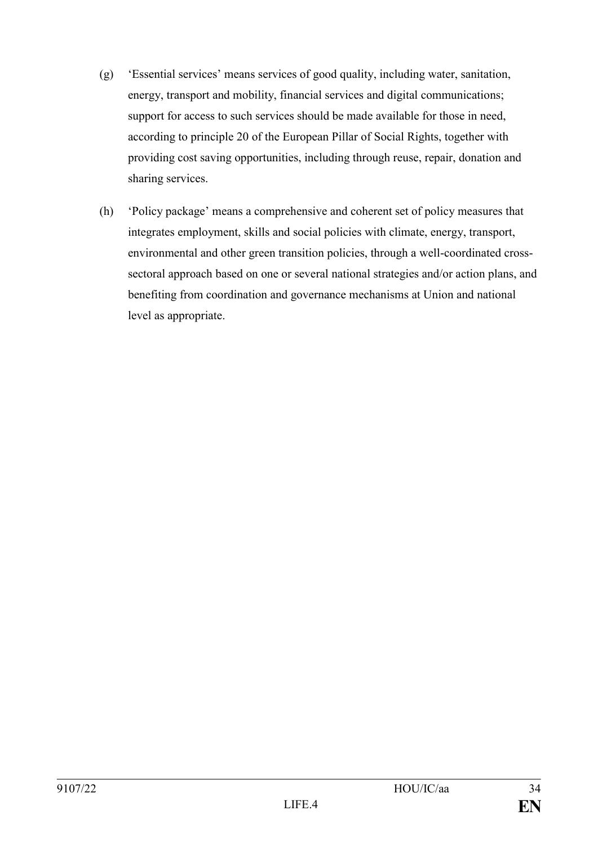- (g) 'Essential services' means services of good quality, including water, sanitation, energy, transport and mobility, financial services and digital communications; support for access to such services should be made available for those in need, according to principle 20 of the European Pillar of Social Rights, together with providing cost saving opportunities, including through reuse, repair, donation and sharing services.
- (h) 'Policy package' means a comprehensive and coherent set of policy measures that integrates employment, skills and social policies with climate, energy, transport, environmental and other green transition policies, through a well-coordinated crosssectoral approach based on one or several national strategies and/or action plans, and benefiting from coordination and governance mechanisms at Union and national level as appropriate.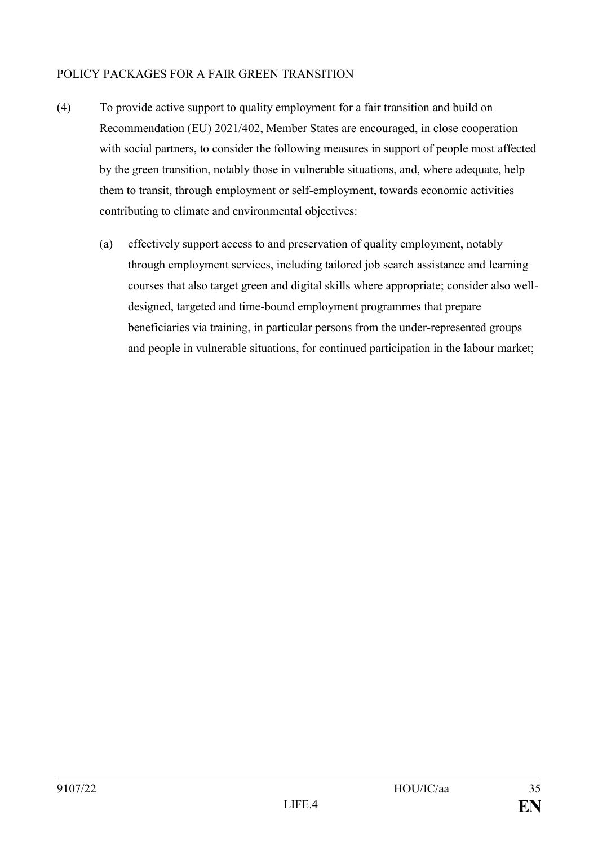# POLICY PACKAGES FOR A FAIR GREEN TRANSITION

- (4) To provide active support to quality employment for a fair transition and build on Recommendation (EU) 2021/402, Member States are encouraged, in close cooperation with social partners, to consider the following measures in support of people most affected by the green transition, notably those in vulnerable situations, and, where adequate, help them to transit, through employment or self-employment, towards economic activities contributing to climate and environmental objectives:
	- (a) effectively support access to and preservation of quality employment, notably through employment services, including tailored job search assistance and learning courses that also target green and digital skills where appropriate; consider also welldesigned, targeted and time-bound employment programmes that prepare beneficiaries via training, in particular persons from the under-represented groups and people in vulnerable situations, for continued participation in the labour market;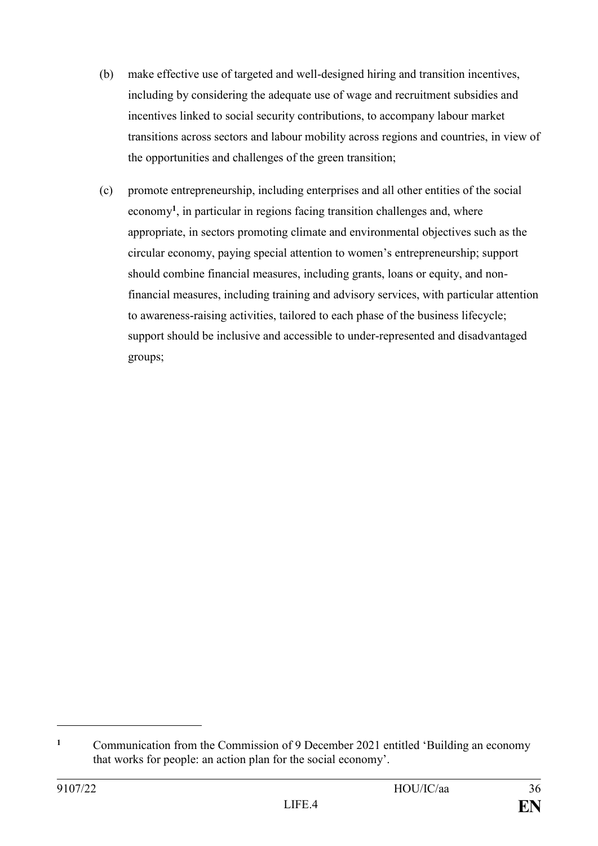- (b) make effective use of targeted and well-designed hiring and transition incentives, including by considering the adequate use of wage and recruitment subsidies and incentives linked to social security contributions, to accompany labour market transitions across sectors and labour mobility across regions and countries, in view of the opportunities and challenges of the green transition;
- (c) promote entrepreneurship, including enterprises and all other entities of the social economy**<sup>1</sup>** , in particular in regions facing transition challenges and, where appropriate, in sectors promoting climate and environmental objectives such as the circular economy, paying special attention to women's entrepreneurship; support should combine financial measures, including grants, loans or equity, and nonfinancial measures, including training and advisory services, with particular attention to awareness-raising activities, tailored to each phase of the business lifecycle; support should be inclusive and accessible to under-represented and disadvantaged groups;

<sup>&</sup>lt;sup>1</sup> Communication from the Commission of 9 December 2021 entitled 'Building an economy that works for people: an action plan for the social economy'.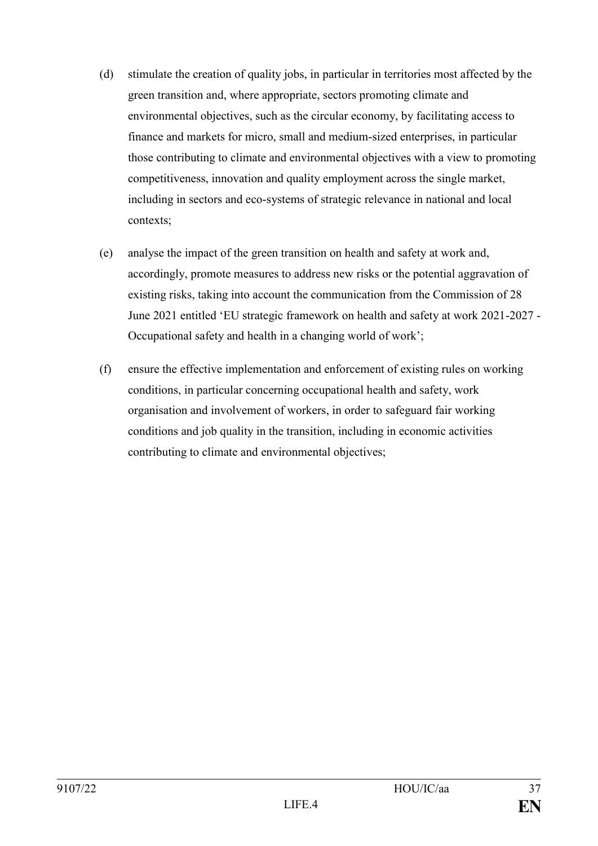- (d) stimulate the creation of quality jobs, in particular in territories most affected by the green transition and, where appropriate, sectors promoting climate and environmental objectives, such as the circular economy, by facilitating access to finance and markets for micro, small and medium-sized enterprises, in particular those contributing to climate and environmental objectives with a view to promoting competitiveness, innovation and quality employment across the single market, including in sectors and eco-systems of strategic relevance in national and local contexts;
- (e) analyse the impact of the green transition on health and safety at work and, accordingly, promote measures to address new risks or the potential aggravation of existing risks, taking into account the communication from the Commission of 28 June 2021 entitled 'EU strategic framework on health and safety at work 2021-2027 - Occupational safety and health in a changing world of work';
- (f) ensure the effective implementation and enforcement of existing rules on working conditions, in particular concerning occupational health and safety, work organisation and involvement of workers, in order to safeguard fair working conditions and job quality in the transition, including in economic activities contributing to climate and environmental objectives;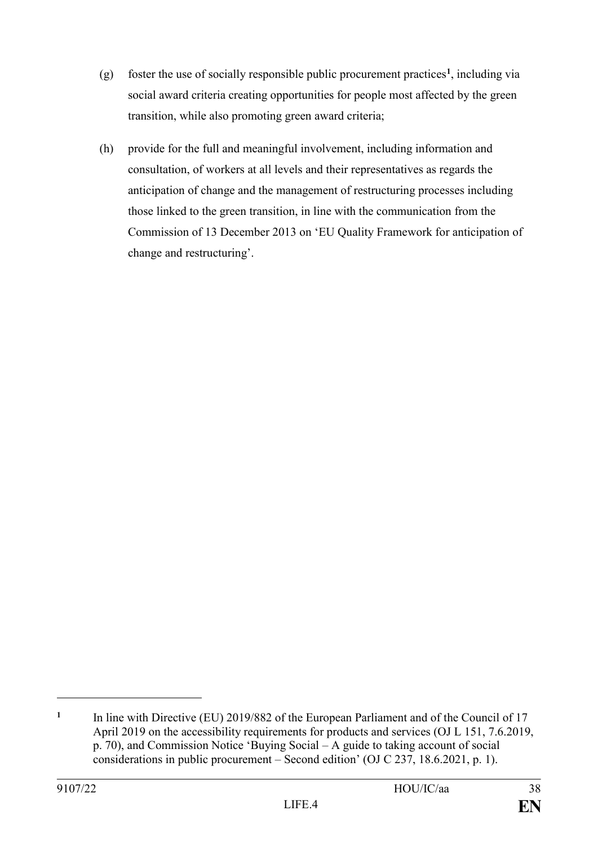- (g) foster the use of socially responsible public procurement practices**<sup>1</sup>** , including via social award criteria creating opportunities for people most affected by the green transition, while also promoting green award criteria;
- (h) provide for the full and meaningful involvement, including information and consultation, of workers at all levels and their representatives as regards the anticipation of change and the management of restructuring processes including those linked to the green transition, in line with the communication from the Commission of 13 December 2013 on 'EU Quality Framework for anticipation of change and restructuring'.

**<sup>1</sup>** In line with Directive (EU) 2019/882 of the European Parliament and of the Council of 17 April 2019 on the accessibility requirements for products and services (OJ L 151, 7.6.2019, p. 70), and Commission Notice 'Buying Social – A guide to taking account of social considerations in public procurement – Second edition' (OJ C 237, 18.6.2021, p. 1).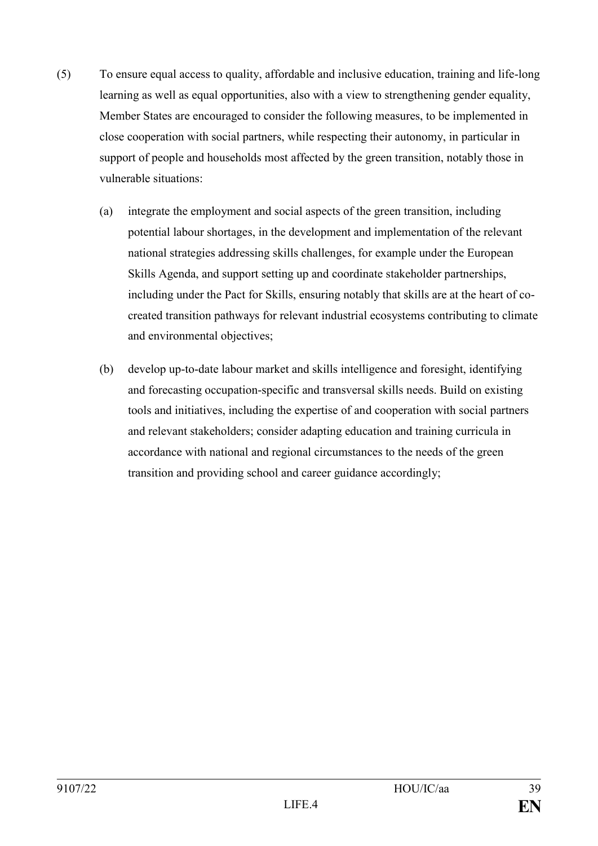- (5) To ensure equal access to quality, affordable and inclusive education, training and life-long learning as well as equal opportunities, also with a view to strengthening gender equality, Member States are encouraged to consider the following measures, to be implemented in close cooperation with social partners, while respecting their autonomy, in particular in support of people and households most affected by the green transition, notably those in vulnerable situations:
	- (a) integrate the employment and social aspects of the green transition, including potential labour shortages, in the development and implementation of the relevant national strategies addressing skills challenges, for example under the European Skills Agenda, and support setting up and coordinate stakeholder partnerships, including under the Pact for Skills, ensuring notably that skills are at the heart of cocreated transition pathways for relevant industrial ecosystems contributing to climate and environmental objectives;
	- (b) develop up-to-date labour market and skills intelligence and foresight, identifying and forecasting occupation-specific and transversal skills needs. Build on existing tools and initiatives, including the expertise of and cooperation with social partners and relevant stakeholders; consider adapting education and training curricula in accordance with national and regional circumstances to the needs of the green transition and providing school and career guidance accordingly;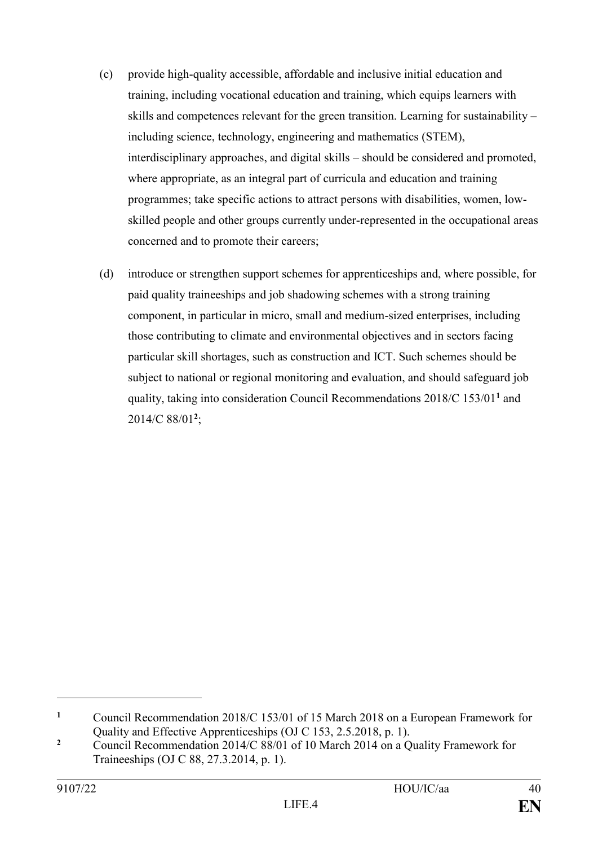- (c) provide high-quality accessible, affordable and inclusive initial education and training, including vocational education and training, which equips learners with skills and competences relevant for the green transition. Learning for sustainability – including science, technology, engineering and mathematics (STEM), interdisciplinary approaches, and digital skills – should be considered and promoted, where appropriate, as an integral part of curricula and education and training programmes; take specific actions to attract persons with disabilities, women, lowskilled people and other groups currently under-represented in the occupational areas concerned and to promote their careers;
- (d) introduce or strengthen support schemes for apprenticeships and, where possible, for paid quality traineeships and job shadowing schemes with a strong training component, in particular in micro, small and medium-sized enterprises, including those contributing to climate and environmental objectives and in sectors facing particular skill shortages, such as construction and ICT. Such schemes should be subject to national or regional monitoring and evaluation, and should safeguard job quality, taking into consideration Council Recommendations 2018/C 153/01**<sup>1</sup>** and 2014/C 88/01**<sup>2</sup>** ;

**<sup>1</sup>** Council Recommendation 2018/C 153/01 of 15 March 2018 on a European Framework for Quality and Effective Apprenticeships (OJ C 153, 2.5.2018, p. 1).

<sup>&</sup>lt;sup>2</sup> Council Recommendation 2014/C 88/01 of 10 March 2014 on a Quality Framework for Traineeships (OJ C 88, 27.3.2014, p. 1).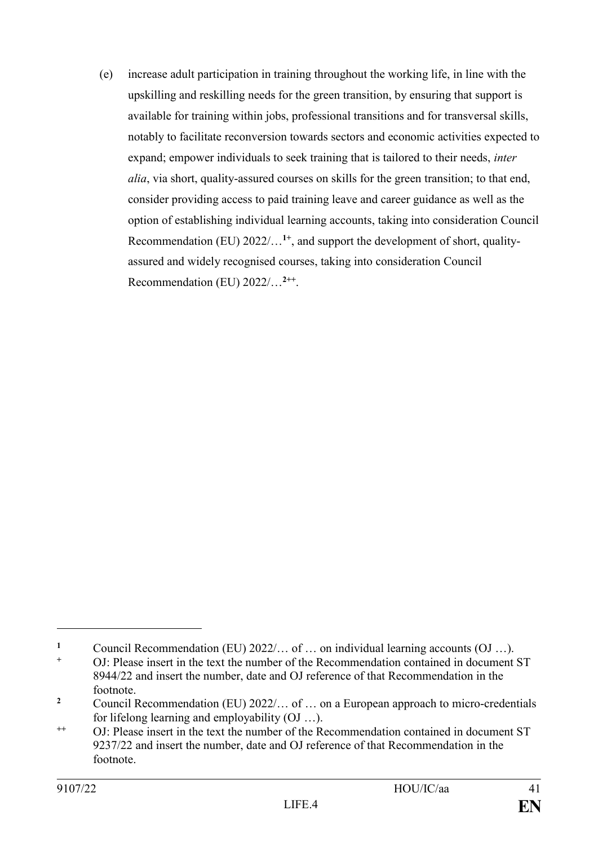(e) increase adult participation in training throughout the working life, in line with the upskilling and reskilling needs for the green transition, by ensuring that support is available for training within jobs, professional transitions and for transversal skills, notably to facilitate reconversion towards sectors and economic activities expected to expand; empower individuals to seek training that is tailored to their needs, *inter alia*, via short, quality-assured courses on skills for the green transition; to that end, consider providing access to paid training leave and career guidance as well as the option of establishing individual learning accounts, taking into consideration Council Recommendation (EU) 2022/...<sup>1+</sup>, and support the development of short, qualityassured and widely recognised courses, taking into consideration Council Recommendation (EU) 2022/…**2++** .

**<sup>1</sup>** Council Recommendation (EU) 2022/… of … on individual learning accounts (OJ …).

**<sup>+</sup>** OJ: Please insert in the text the number of the Recommendation contained in document ST 8944/22 and insert the number, date and OJ reference of that Recommendation in the footnote.

**<sup>2</sup>** Council Recommendation (EU) 2022/… of … on a European approach to micro-credentials for lifelong learning and employability (OJ …).

**<sup>++</sup>** OJ: Please insert in the text the number of the Recommendation contained in document ST 9237/22 and insert the number, date and OJ reference of that Recommendation in the footnote.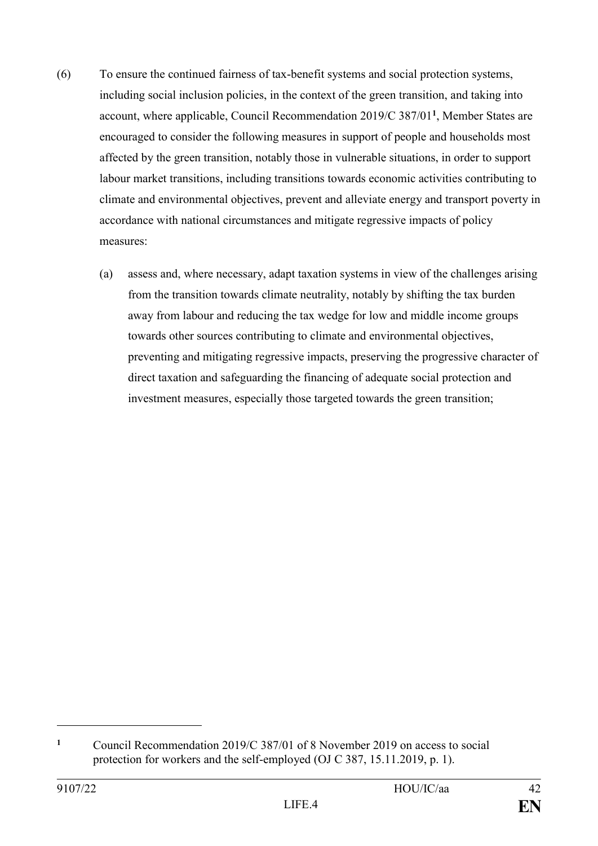- (6) To ensure the continued fairness of tax-benefit systems and social protection systems, including social inclusion policies, in the context of the green transition, and taking into account, where applicable, Council Recommendation 2019/C 387/01**<sup>1</sup>** , Member States are encouraged to consider the following measures in support of people and households most affected by the green transition, notably those in vulnerable situations, in order to support labour market transitions, including transitions towards economic activities contributing to climate and environmental objectives, prevent and alleviate energy and transport poverty in accordance with national circumstances and mitigate regressive impacts of policy measures:
	- (a) assess and, where necessary, adapt taxation systems in view of the challenges arising from the transition towards climate neutrality, notably by shifting the tax burden away from labour and reducing the tax wedge for low and middle income groups towards other sources contributing to climate and environmental objectives, preventing and mitigating regressive impacts, preserving the progressive character of direct taxation and safeguarding the financing of adequate social protection and investment measures, especially those targeted towards the green transition;

**<sup>1</sup>** Council Recommendation 2019/C 387/01 of 8 November 2019 on access to social protection for workers and the self-employed (OJ C 387, 15.11.2019, p. 1).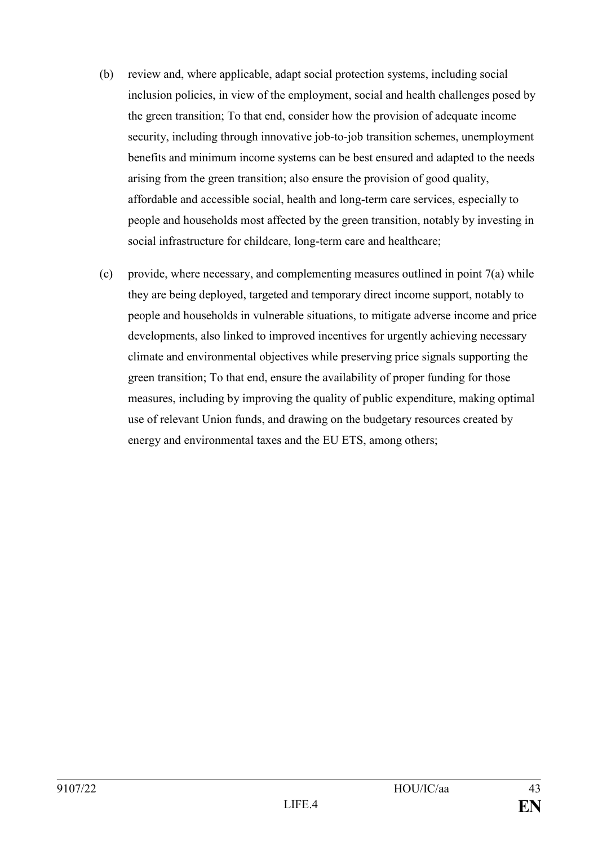- (b) review and, where applicable, adapt social protection systems, including social inclusion policies, in view of the employment, social and health challenges posed by the green transition; To that end, consider how the provision of adequate income security, including through innovative job-to-job transition schemes, unemployment benefits and minimum income systems can be best ensured and adapted to the needs arising from the green transition; also ensure the provision of good quality, affordable and accessible social, health and long-term care services, especially to people and households most affected by the green transition, notably by investing in social infrastructure for childcare, long-term care and healthcare;
- (c) provide, where necessary, and complementing measures outlined in point 7(a) while they are being deployed, targeted and temporary direct income support, notably to people and households in vulnerable situations, to mitigate adverse income and price developments, also linked to improved incentives for urgently achieving necessary climate and environmental objectives while preserving price signals supporting the green transition; To that end, ensure the availability of proper funding for those measures, including by improving the quality of public expenditure, making optimal use of relevant Union funds, and drawing on the budgetary resources created by energy and environmental taxes and the EU ETS, among others;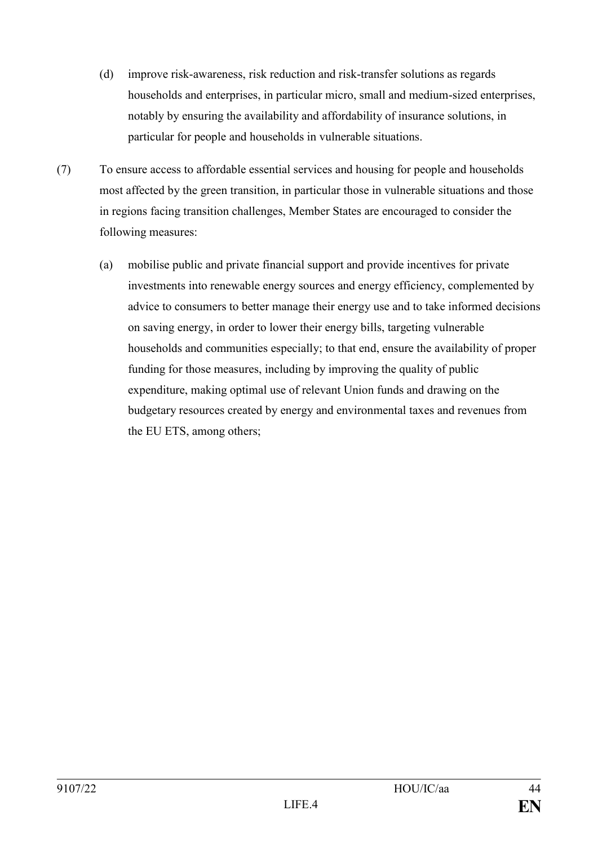- (d) improve risk-awareness, risk reduction and risk-transfer solutions as regards households and enterprises, in particular micro, small and medium-sized enterprises, notably by ensuring the availability and affordability of insurance solutions, in particular for people and households in vulnerable situations.
- (7) To ensure access to affordable essential services and housing for people and households most affected by the green transition, in particular those in vulnerable situations and those in regions facing transition challenges, Member States are encouraged to consider the following measures:
	- (a) mobilise public and private financial support and provide incentives for private investments into renewable energy sources and energy efficiency, complemented by advice to consumers to better manage their energy use and to take informed decisions on saving energy, in order to lower their energy bills, targeting vulnerable households and communities especially; to that end, ensure the availability of proper funding for those measures, including by improving the quality of public expenditure, making optimal use of relevant Union funds and drawing on the budgetary resources created by energy and environmental taxes and revenues from the EU ETS, among others;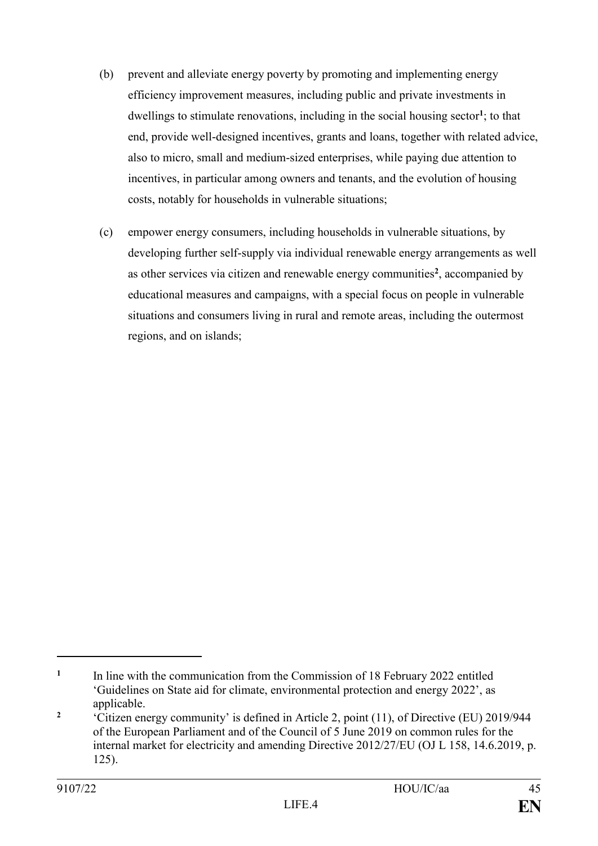- (b) prevent and alleviate energy poverty by promoting and implementing energy efficiency improvement measures, including public and private investments in dwellings to stimulate renovations, including in the social housing sector<sup>1</sup>; to that end, provide well-designed incentives, grants and loans, together with related advice, also to micro, small and medium-sized enterprises, while paying due attention to incentives, in particular among owners and tenants, and the evolution of housing costs, notably for households in vulnerable situations;
- (c) empower energy consumers, including households in vulnerable situations, by developing further self-supply via individual renewable energy arrangements as well as other services via citizen and renewable energy communities**<sup>2</sup>** , accompanied by educational measures and campaigns, with a special focus on people in vulnerable situations and consumers living in rural and remote areas, including the outermost regions, and on islands;

**<sup>1</sup>** In line with the communication from the Commission of 18 February 2022 entitled 'Guidelines on State aid for climate, environmental protection and energy 2022', as applicable.

**<sup>2</sup>** 'Citizen energy community' is defined in Article 2, point (11), of Directive (EU) 2019/944 of the European Parliament and of the Council of 5 June 2019 on common rules for the internal market for electricity and amending Directive 2012/27/EU (OJ L 158, 14.6.2019, p. 125).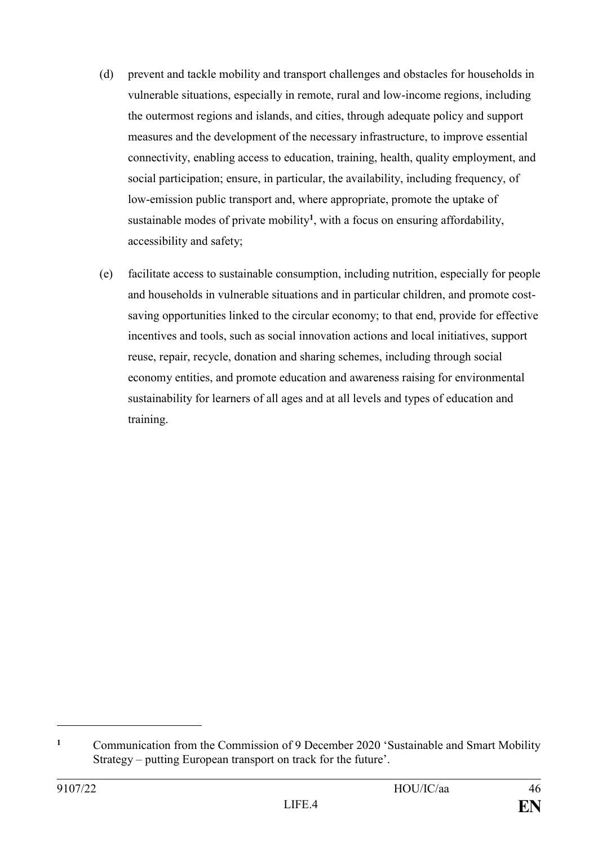- (d) prevent and tackle mobility and transport challenges and obstacles for households in vulnerable situations, especially in remote, rural and low-income regions, including the outermost regions and islands, and cities, through adequate policy and support measures and the development of the necessary infrastructure, to improve essential connectivity, enabling access to education, training, health, quality employment, and social participation; ensure, in particular, the availability, including frequency, of low-emission public transport and, where appropriate, promote the uptake of sustainable modes of private mobility**<sup>1</sup>** , with a focus on ensuring affordability, accessibility and safety;
- (e) facilitate access to sustainable consumption, including nutrition, especially for people and households in vulnerable situations and in particular children, and promote costsaving opportunities linked to the circular economy; to that end, provide for effective incentives and tools, such as social innovation actions and local initiatives, support reuse, repair, recycle, donation and sharing schemes, including through social economy entities, and promote education and awareness raising for environmental sustainability for learners of all ages and at all levels and types of education and training.

<sup>&</sup>lt;sup>1</sup> Communication from the Commission of 9 December 2020 'Sustainable and Smart Mobility Strategy – putting European transport on track for the future'.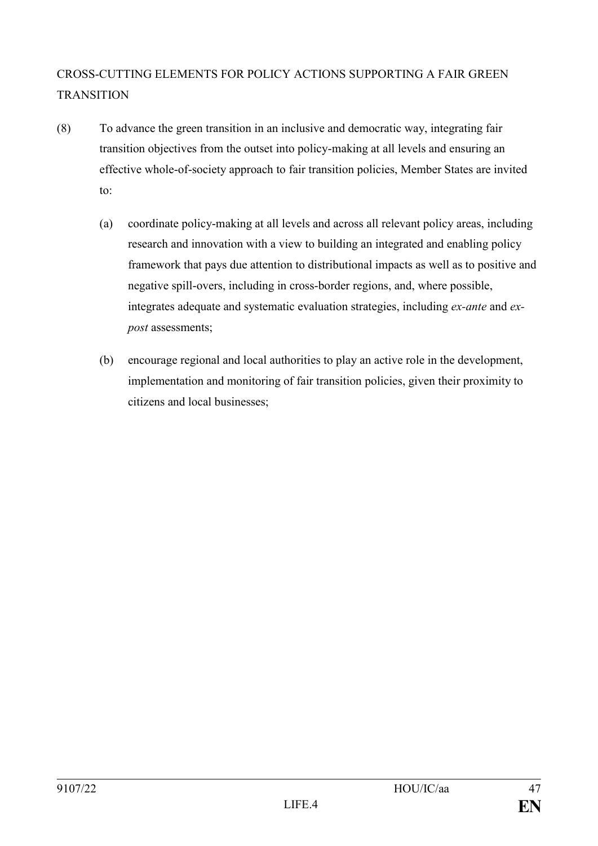# CROSS-CUTTING ELEMENTS FOR POLICY ACTIONS SUPPORTING A FAIR GREEN **TRANSITION**

- (8) To advance the green transition in an inclusive and democratic way, integrating fair transition objectives from the outset into policy-making at all levels and ensuring an effective whole-of-society approach to fair transition policies, Member States are invited to:
	- (a) coordinate policy-making at all levels and across all relevant policy areas, including research and innovation with a view to building an integrated and enabling policy framework that pays due attention to distributional impacts as well as to positive and negative spill-overs, including in cross-border regions, and, where possible, integrates adequate and systematic evaluation strategies, including *ex-ante* and *expost* assessments;
	- (b) encourage regional and local authorities to play an active role in the development, implementation and monitoring of fair transition policies, given their proximity to citizens and local businesses;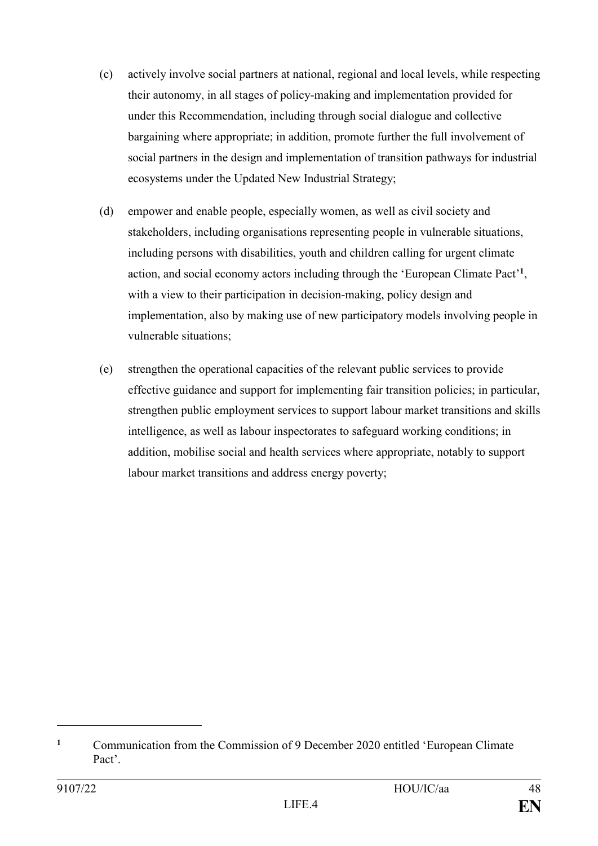- (c) actively involve social partners at national, regional and local levels, while respecting their autonomy, in all stages of policy-making and implementation provided for under this Recommendation, including through social dialogue and collective bargaining where appropriate; in addition, promote further the full involvement of social partners in the design and implementation of transition pathways for industrial ecosystems under the Updated New Industrial Strategy;
- (d) empower and enable people, especially women, as well as civil society and stakeholders, including organisations representing people in vulnerable situations, including persons with disabilities, youth and children calling for urgent climate action, and social economy actors including through the 'European Climate Pact'**<sup>1</sup>** , with a view to their participation in decision-making, policy design and implementation, also by making use of new participatory models involving people in vulnerable situations;
- (e) strengthen the operational capacities of the relevant public services to provide effective guidance and support for implementing fair transition policies; in particular, strengthen public employment services to support labour market transitions and skills intelligence, as well as labour inspectorates to safeguard working conditions; in addition, mobilise social and health services where appropriate, notably to support labour market transitions and address energy poverty;

<sup>&</sup>lt;sup>1</sup> Communication from the Commission of 9 December 2020 entitled 'European Climate' Pact'.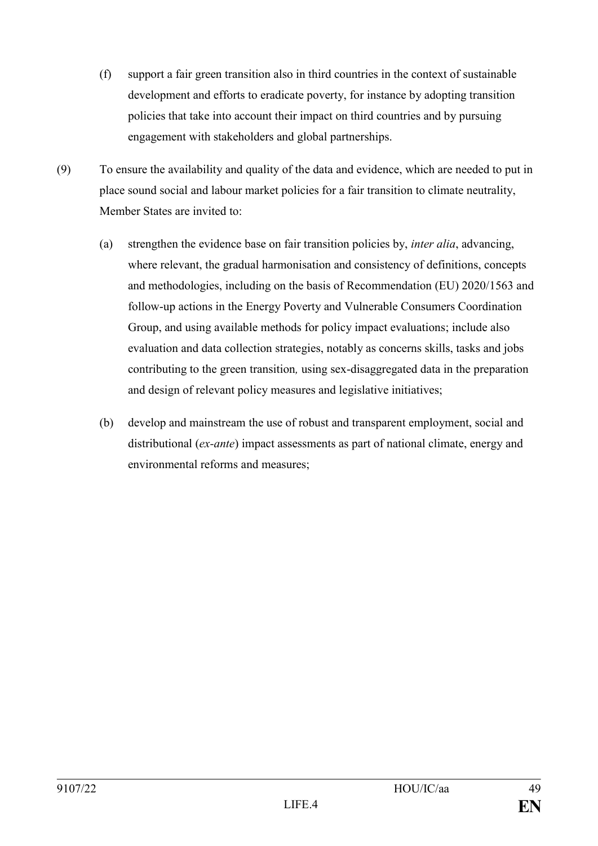- (f) support a fair green transition also in third countries in the context of sustainable development and efforts to eradicate poverty, for instance by adopting transition policies that take into account their impact on third countries and by pursuing engagement with stakeholders and global partnerships.
- (9) To ensure the availability and quality of the data and evidence, which are needed to put in place sound social and labour market policies for a fair transition to climate neutrality, Member States are invited to:
	- (a) strengthen the evidence base on fair transition policies by, *inter alia*, advancing, where relevant, the gradual harmonisation and consistency of definitions, concepts and methodologies, including on the basis of Recommendation (EU) 2020/1563 and follow-up actions in the Energy Poverty and Vulnerable Consumers Coordination Group, and using available methods for policy impact evaluations; include also evaluation and data collection strategies, notably as concerns skills, tasks and jobs contributing to the green transition*,* using sex-disaggregated data in the preparation and design of relevant policy measures and legislative initiatives;
	- (b) develop and mainstream the use of robust and transparent employment, social and distributional (*ex-ante*) impact assessments as part of national climate, energy and environmental reforms and measures;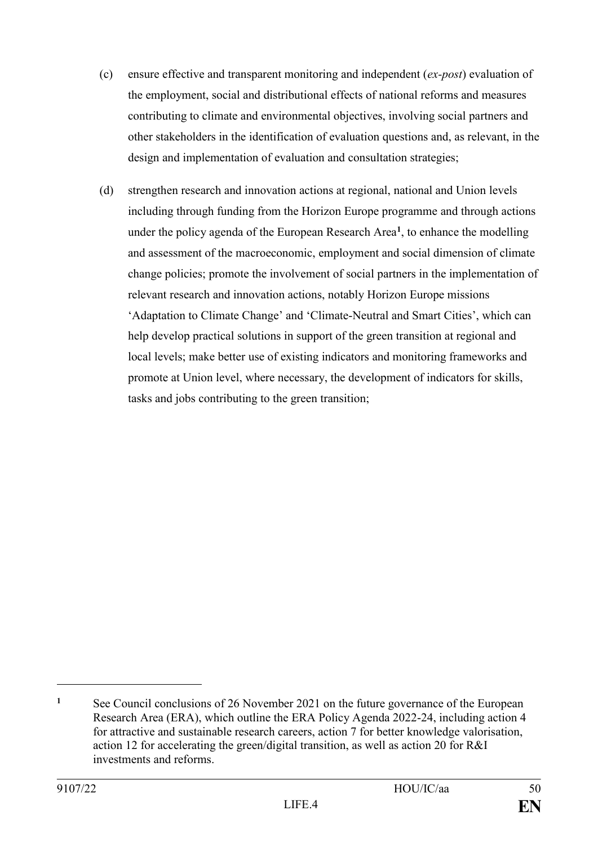- (c) ensure effective and transparent monitoring and independent (*ex-post*) evaluation of the employment, social and distributional effects of national reforms and measures contributing to climate and environmental objectives, involving social partners and other stakeholders in the identification of evaluation questions and, as relevant, in the design and implementation of evaluation and consultation strategies;
- (d) strengthen research and innovation actions at regional, national and Union levels including through funding from the Horizon Europe programme and through actions under the policy agenda of the European Research Area**<sup>1</sup>** , to enhance the modelling and assessment of the macroeconomic, employment and social dimension of climate change policies; promote the involvement of social partners in the implementation of relevant research and innovation actions, notably Horizon Europe missions 'Adaptation to Climate Change' and 'Climate-Neutral and Smart Cities', which can help develop practical solutions in support of the green transition at regional and local levels; make better use of existing indicators and monitoring frameworks and promote at Union level, where necessary, the development of indicators for skills, tasks and jobs contributing to the green transition;

<sup>&</sup>lt;sup>1</sup> See Council conclusions of 26 November 2021 on the future governance of the European Research Area (ERA), which outline the ERA Policy Agenda 2022-24, including action 4 for attractive and sustainable research careers, action 7 for better knowledge valorisation, action 12 for accelerating the green/digital transition, as well as action 20 for R&I investments and reforms.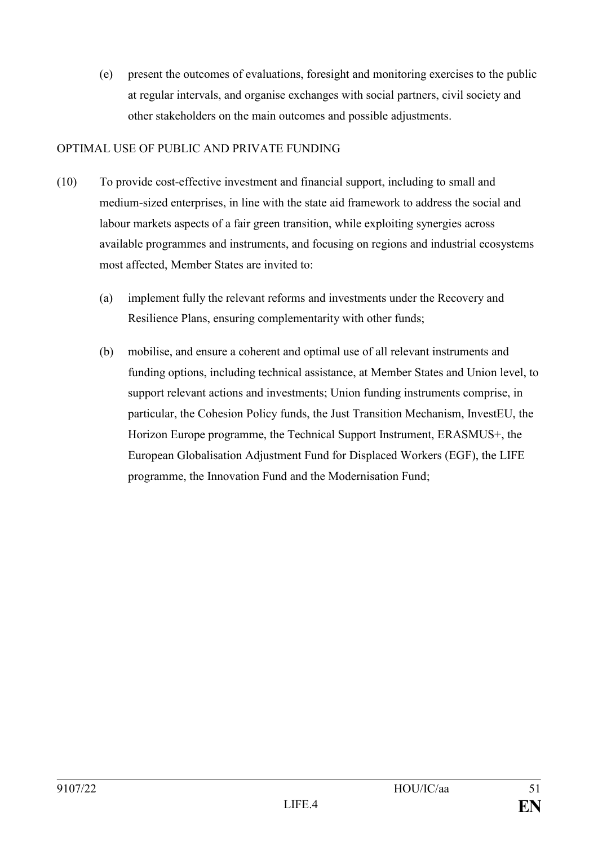(e) present the outcomes of evaluations, foresight and monitoring exercises to the public at regular intervals, and organise exchanges with social partners, civil society and other stakeholders on the main outcomes and possible adjustments.

## OPTIMAL USE OF PUBLIC AND PRIVATE FUNDING

- (10) To provide cost-effective investment and financial support, including to small and medium-sized enterprises, in line with the state aid framework to address the social and labour markets aspects of a fair green transition, while exploiting synergies across available programmes and instruments, and focusing on regions and industrial ecosystems most affected, Member States are invited to:
	- (a) implement fully the relevant reforms and investments under the Recovery and Resilience Plans, ensuring complementarity with other funds;
	- (b) mobilise, and ensure a coherent and optimal use of all relevant instruments and funding options, including technical assistance, at Member States and Union level, to support relevant actions and investments; Union funding instruments comprise, in particular, the Cohesion Policy funds, the Just Transition Mechanism, InvestEU, the Horizon Europe programme, the Technical Support Instrument, ERASMUS+, the European Globalisation Adjustment Fund for Displaced Workers (EGF), the LIFE programme, the Innovation Fund and the Modernisation Fund;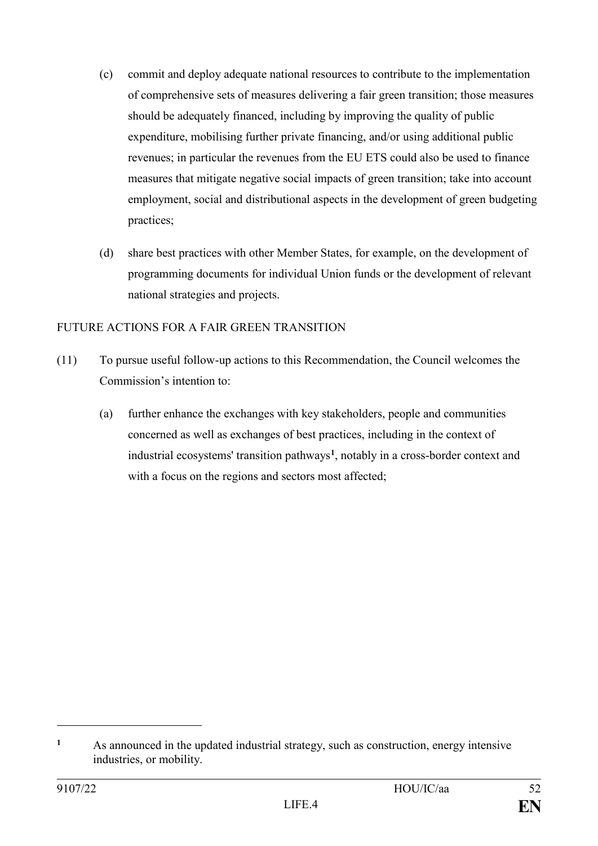- (c) commit and deploy adequate national resources to contribute to the implementation of comprehensive sets of measures delivering a fair green transition; those measures should be adequately financed, including by improving the quality of public expenditure, mobilising further private financing, and/or using additional public revenues; in particular the revenues from the EU ETS could also be used to finance measures that mitigate negative social impacts of green transition; take into account employment, social and distributional aspects in the development of green budgeting practices;
- (d) share best practices with other Member States, for example, on the development of programming documents for individual Union funds or the development of relevant national strategies and projects.

# FUTURE ACTIONS FOR A FAIR GREEN TRANSITION

- (11) To pursue useful follow-up actions to this Recommendation, the Council welcomes the Commission's intention to:
	- (a) further enhance the exchanges with key stakeholders, people and communities concerned as well as exchanges of best practices, including in the context of industrial ecosystems' transition pathways**<sup>1</sup>** , notably in a cross-border context and with a focus on the regions and sectors most affected;

**<sup>1</sup>** As announced in the updated industrial strategy, such as construction, energy intensive industries, or mobility.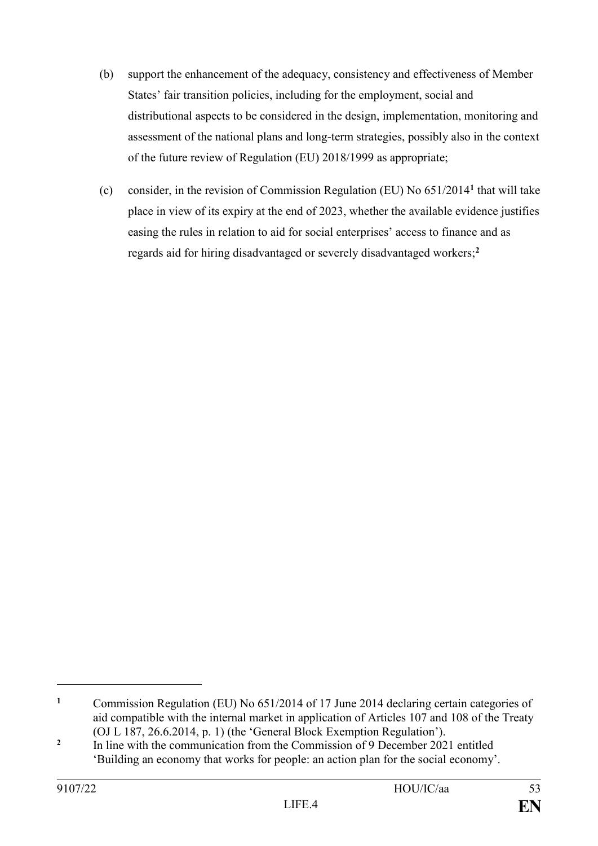- (b) support the enhancement of the adequacy, consistency and effectiveness of Member States' fair transition policies, including for the employment, social and distributional aspects to be considered in the design, implementation, monitoring and assessment of the national plans and long-term strategies, possibly also in the context of the future review of Regulation (EU) 2018/1999 as appropriate;
- (c) consider, in the revision of Commission Regulation (EU) No 651/2014**<sup>1</sup>** that will take place in view of its expiry at the end of 2023, whether the available evidence justifies easing the rules in relation to aid for social enterprises' access to finance and as regards aid for hiring disadvantaged or severely disadvantaged workers; **2**

**<sup>1</sup>** Commission Regulation (EU) No 651/2014 of 17 June 2014 declaring certain categories of aid compatible with the internal market in application of Articles 107 and 108 of the Treaty (OJ L 187, 26.6.2014, p. 1) (the 'General Block Exemption Regulation').

**<sup>2</sup>** In line with the communication from the Commission of 9 December 2021 entitled 'Building an economy that works for people: an action plan for the social economy'.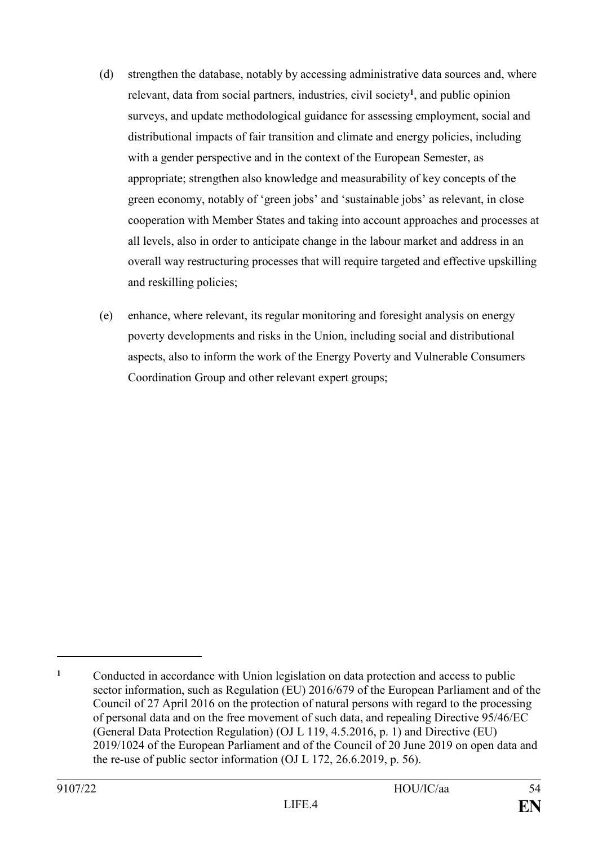- (d) strengthen the database, notably by accessing administrative data sources and, where relevant, data from social partners, industries, civil society**<sup>1</sup>** , and public opinion surveys, and update methodological guidance for assessing employment, social and distributional impacts of fair transition and climate and energy policies, including with a gender perspective and in the context of the European Semester, as appropriate; strengthen also knowledge and measurability of key concepts of the green economy, notably of 'green jobs' and 'sustainable jobs' as relevant, in close cooperation with Member States and taking into account approaches and processes at all levels, also in order to anticipate change in the labour market and address in an overall way restructuring processes that will require targeted and effective upskilling and reskilling policies;
- (e) enhance, where relevant, its regular monitoring and foresight analysis on energy poverty developments and risks in the Union, including social and distributional aspects, also to inform the work of the Energy Poverty and Vulnerable Consumers Coordination Group and other relevant expert groups;

**<sup>1</sup>** Conducted in accordance with Union legislation on data protection and access to public sector information, such as Regulation (EU) 2016/679 of the European Parliament and of the Council of 27 April 2016 on the protection of natural persons with regard to the processing of personal data and on the free movement of such data, and repealing Directive 95/46/EC (General Data Protection Regulation) (OJ L 119, 4.5.2016, p. 1) and Directive (EU) 2019/1024 of the European Parliament and of the Council of 20 June 2019 on open data and the re-use of public sector information (OJ L 172, 26.6.2019, p. 56).